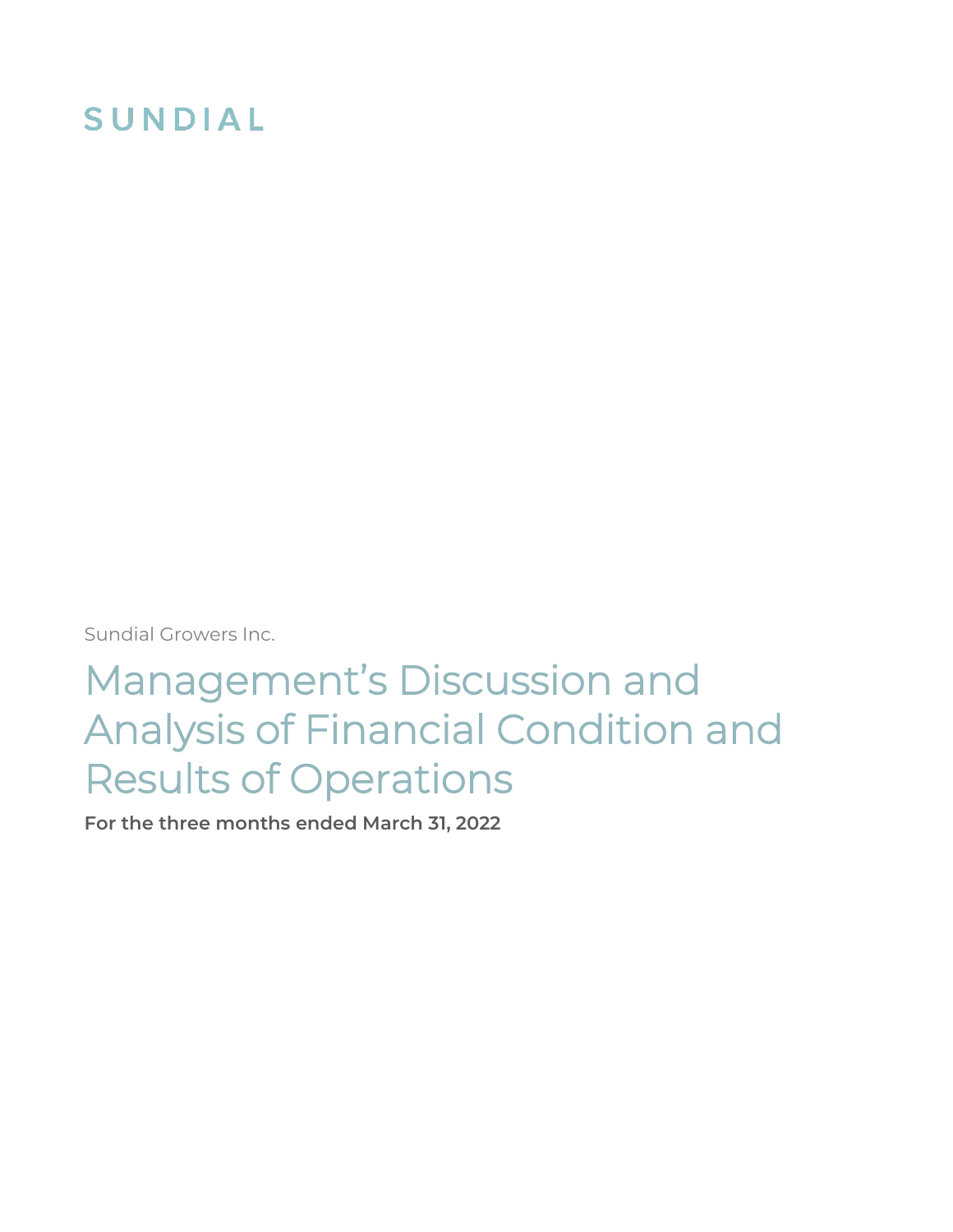# **SUNDIAL**

Sundial Growers Inc.

# Management's Discussion and Analysis of Financial Condition and Results of Operations

**For the three months ended March 31, 2022**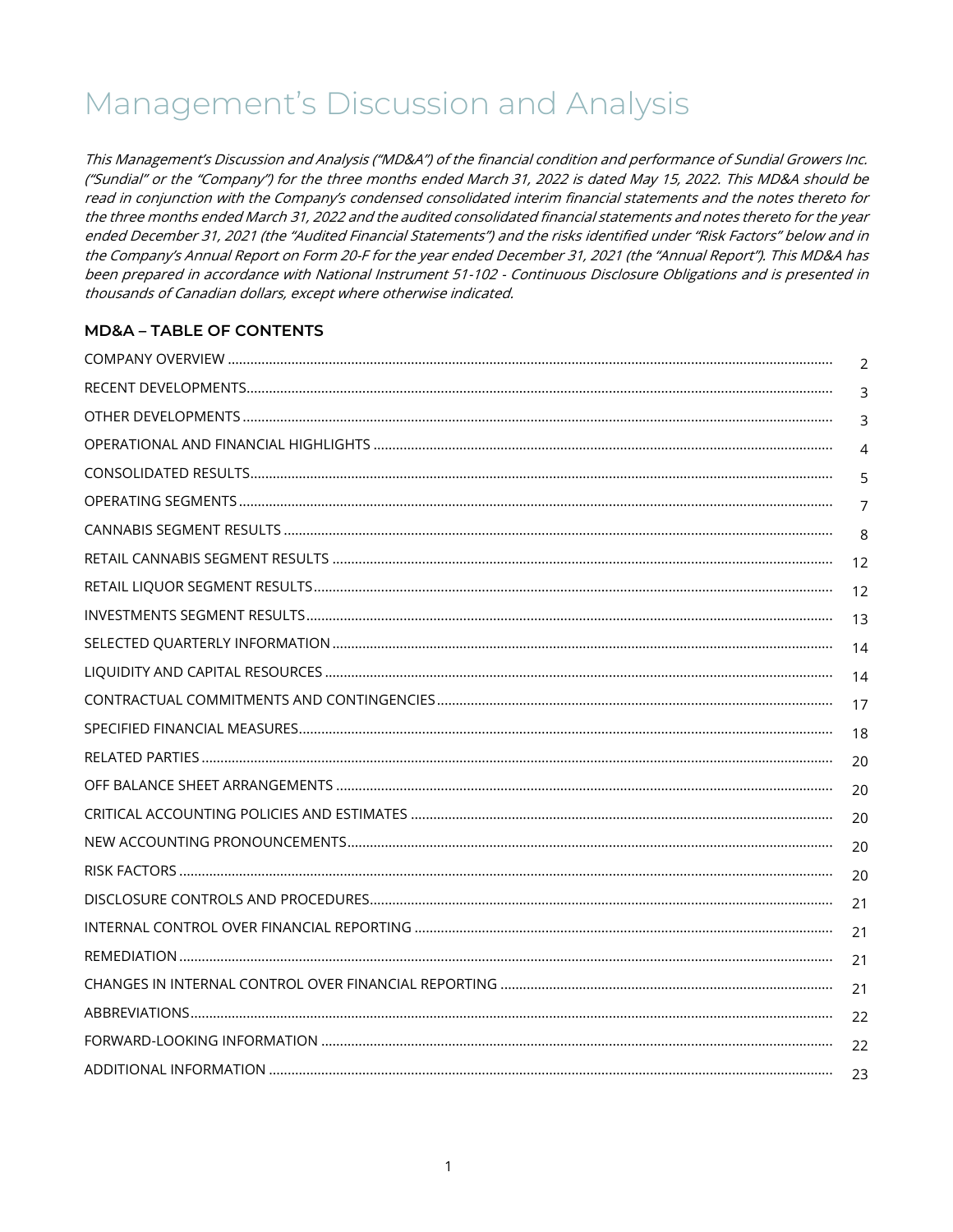## Management's Discussion and Analysis

This Management's Discussion and Analysis ("MD&A") of the financial condition and performance of Sundial Growers Inc. ("Sundial" or the "Company") for the three months ended March 31, 2022 is dated May 15, 2022. This MD&A should be read in conjunction with the Company's condensed consolidated interim financial statements and the notes thereto for the three months ended March 31, 2022 and the audited consolidated financial statements and notes thereto for the year ended December 31, 2021 (the "Audited Financial Statements") and the risks identified under "Risk Factors" below and in the Company's Annual Report on Form 20-F for the year ended December 31, 2021 (the "Annual Report"). This MD&A has been prepared in accordance with National Instrument 51-102 - Continuous Disclosure Obligations and is presented in thousands of Canadian dollars, except where otherwise indicated.

### **MD&A - TABLE OF CONTENTS**

| $\mathcal{P}$ |
|---------------|
| 3             |
| 3             |
| 4             |
| 5             |
| 7             |
| 8             |
| 12            |
| 12            |
| 13            |
| 14            |
| 14            |
| 17            |
| 18            |
| 20            |
| 20            |
| 20            |
| 20            |
| 20            |
| 21            |
| 21            |
| 21            |
| 21            |
| 22            |
| 22            |
| 23            |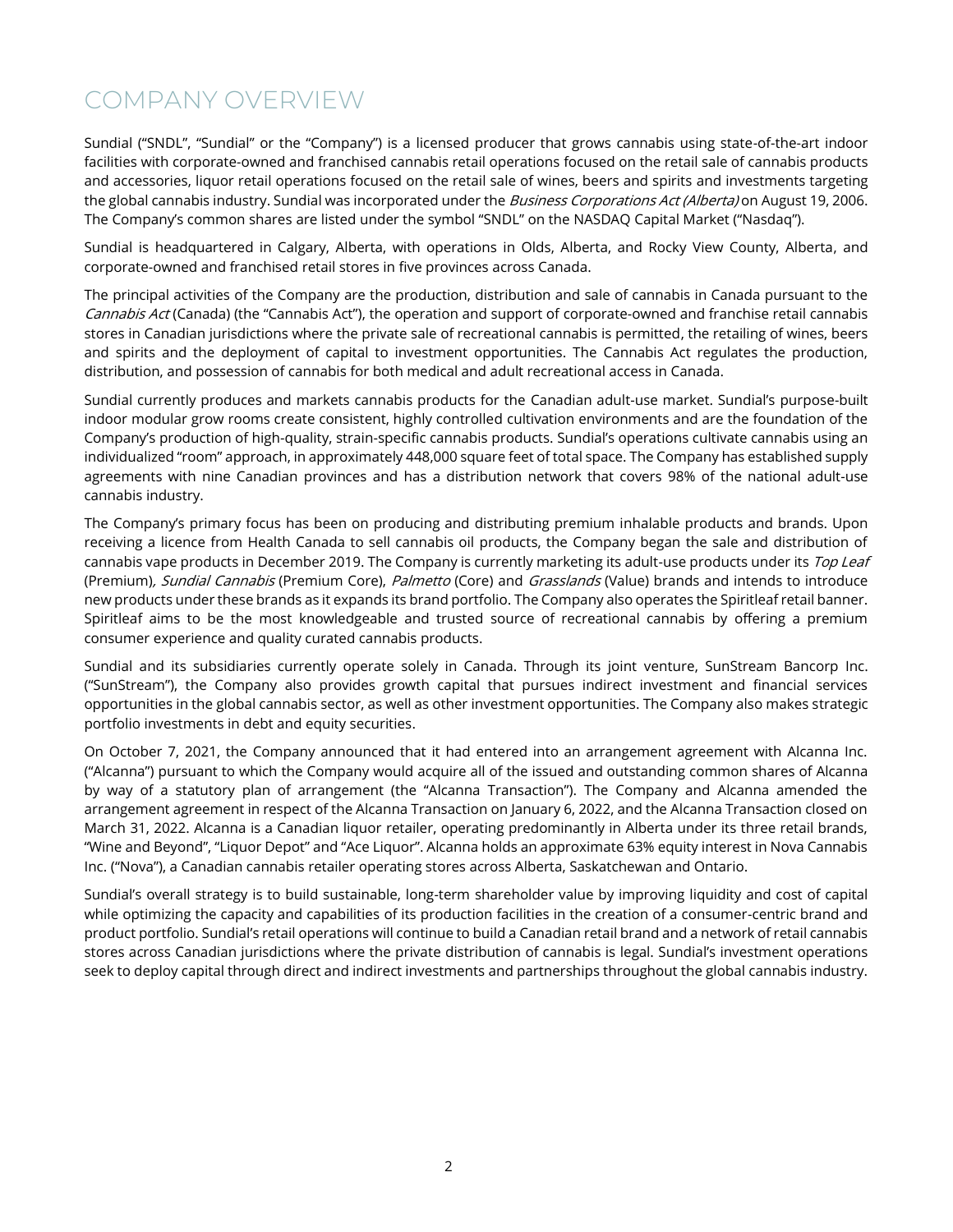### <span id="page-2-0"></span>COMPANY OVERVIEW

Sundial ("SNDL", "Sundial" or the "Company") is a licensed producer that grows cannabis using state-of-the-art indoor facilities with corporate-owned and franchised cannabis retail operations focused on the retail sale of cannabis products and accessories, liquor retail operations focused on the retail sale of wines, beers and spirits and investments targeting the global cannabis industry. Sundial was incorporated under the *Business Corporations Act (Alberta)* on August 19, 2006. The Company's common shares are listed under the symbol "SNDL" on the NASDAQ Capital Market ("Nasdaq").

Sundial is headquartered in Calgary, Alberta, with operations in Olds, Alberta, and Rocky View County, Alberta, and corporate-owned and franchised retail stores in five provinces across Canada.

The principal activities of the Company are the production, distribution and sale of cannabis in Canada pursuant to the Cannabis Act (Canada) (the "Cannabis Act"), the operation and support of corporate-owned and franchise retail cannabis stores in Canadian jurisdictions where the private sale of recreational cannabis is permitted, the retailing of wines, beers and spirits and the deployment of capital to investment opportunities. The Cannabis Act regulates the production, distribution, and possession of cannabis for both medical and adult recreational access in Canada.

Sundial currently produces and markets cannabis products for the Canadian adult-use market. Sundial's purpose-built indoor modular grow rooms create consistent, highly controlled cultivation environments and are the foundation of the Company's production of high-quality, strain-specific cannabis products. Sundial's operations cultivate cannabis using an individualized "room" approach, in approximately 448,000 square feet of total space. The Company has established supply agreements with nine Canadian provinces and has a distribution network that covers 98% of the national adult-use cannabis industry.

The Company's primary focus has been on producing and distributing premium inhalable products and brands. Upon receiving a licence from Health Canada to sell cannabis oil products, the Company began the sale and distribution of cannabis vape products in December 2019. The Company is currently marketing its adult-use products under its Top Leaf (Premium), Sundial Cannabis (Premium Core), Palmetto (Core) and Grasslands (Value) brands and intends to introduce new products under these brands as it expands its brand portfolio. The Company also operates the Spiritleaf retail banner. Spiritleaf aims to be the most knowledgeable and trusted source of recreational cannabis by offering a premium consumer experience and quality curated cannabis products.

Sundial and its subsidiaries currently operate solely in Canada. Through its joint venture, SunStream Bancorp Inc. ("SunStream"), the Company also provides growth capital that pursues indirect investment and financial services opportunities in the global cannabis sector, as well as other investment opportunities. The Company also makes strategic portfolio investments in debt and equity securities.

On October 7, 2021, the Company announced that it had entered into an arrangement agreement with Alcanna Inc. ("Alcanna") pursuant to which the Company would acquire all of the issued and outstanding common shares of Alcanna by way of a statutory plan of arrangement (the "Alcanna Transaction"). The Company and Alcanna amended the arrangement agreement in respect of the Alcanna Transaction on January 6, 2022, and the Alcanna Transaction closed on March 31, 2022. Alcanna is a Canadian liquor retailer, operating predominantly in Alberta under its three retail brands, "Wine and Beyond", "Liquor Depot" and "Ace Liquor". Alcanna holds an approximate 63% equity interest in Nova Cannabis Inc. ("Nova"), a Canadian cannabis retailer operating stores across Alberta, Saskatchewan and Ontario.

Sundial's overall strategy is to build sustainable, long-term shareholder value by improving liquidity and cost of capital while optimizing the capacity and capabilities of its production facilities in the creation of a consumer-centric brand and product portfolio. Sundial's retail operations will continue to build a Canadian retail brand and a network of retail cannabis stores across Canadian jurisdictions where the private distribution of cannabis is legal. Sundial's investment operations seek to deploy capital through direct and indirect investments and partnerships throughout the global cannabis industry.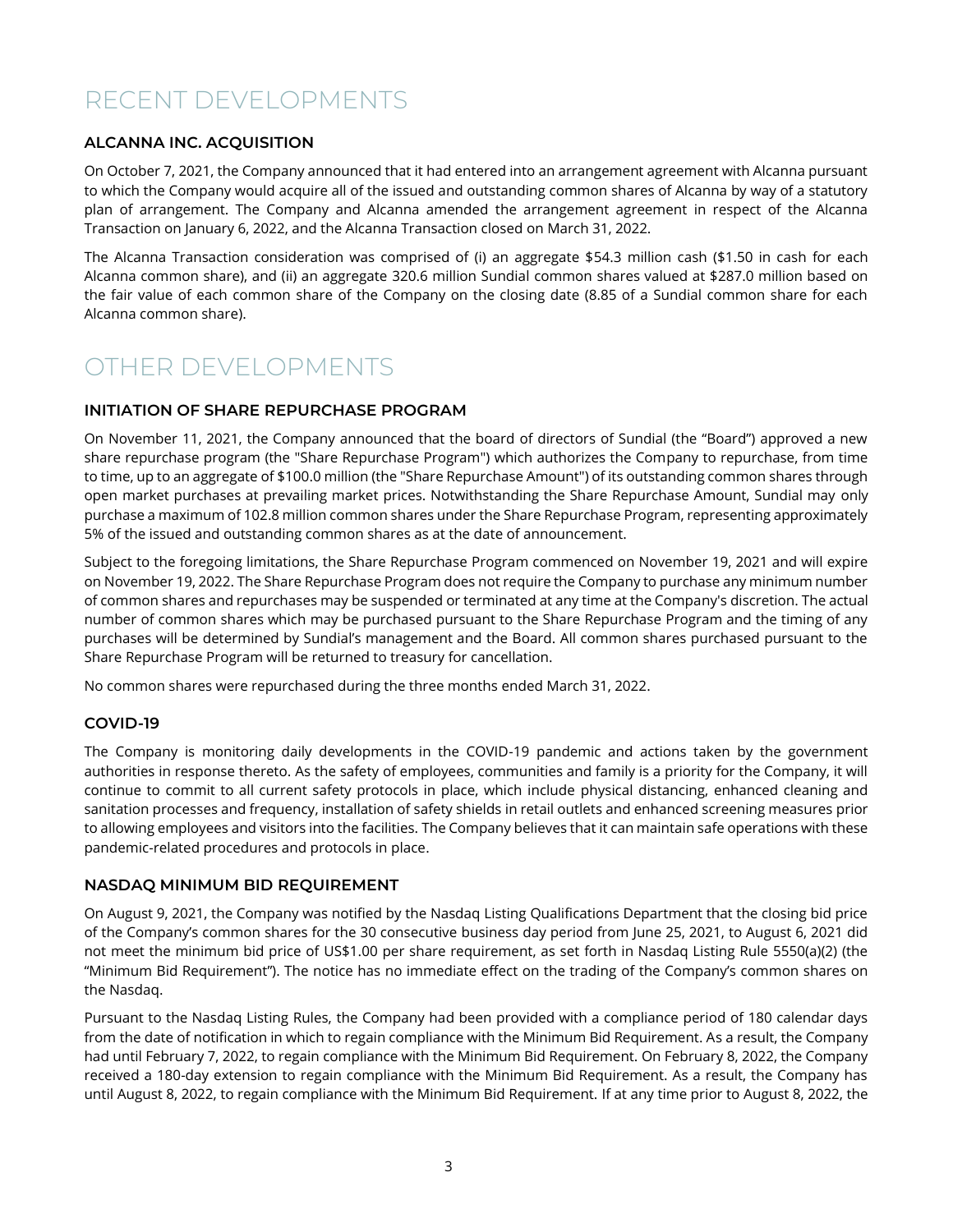### <span id="page-3-0"></span>RECENT DEVELOPMENTS

### **ALCANNA INC. ACQUISITION**

On October 7, 2021, the Company announced that it had entered into an arrangement agreement with Alcanna pursuant to which the Company would acquire all of the issued and outstanding common shares of Alcanna by way of a statutory plan of arrangement. The Company and Alcanna amended the arrangement agreement in respect of the Alcanna Transaction on January 6, 2022, and the Alcanna Transaction closed on March 31, 2022.

The Alcanna Transaction consideration was comprised of (i) an aggregate \$54.3 million cash (\$1.50 in cash for each Alcanna common share), and (ii) an aggregate 320.6 million Sundial common shares valued at \$287.0 million based on the fair value of each common share of the Company on the closing date (8.85 of a Sundial common share for each Alcanna common share).

### <span id="page-3-1"></span>OTHER DEVELOPMENTS

### **INITIATION OF SHARE REPURCHASE PROGRAM**

On November 11, 2021, the Company announced that the board of directors of Sundial (the "Board") approved a new share repurchase program (the "Share Repurchase Program") which authorizes the Company to repurchase, from time to time, up to an aggregate of \$100.0 million (the "Share Repurchase Amount") of its outstanding common shares through open market purchases at prevailing market prices. Notwithstanding the Share Repurchase Amount, Sundial may only purchase a maximum of 102.8 million common shares under the Share Repurchase Program, representing approximately 5% of the issued and outstanding common shares as at the date of announcement.

Subject to the foregoing limitations, the Share Repurchase Program commenced on November 19, 2021 and will expire on November 19, 2022. The Share Repurchase Program does not require the Company to purchase any minimum number of common shares and repurchases may be suspended or terminated at any time at the Company's discretion. The actual number of common shares which may be purchased pursuant to the Share Repurchase Program and the timing of any purchases will be determined by Sundial's management and the Board. All common shares purchased pursuant to the Share Repurchase Program will be returned to treasury for cancellation.

No common shares were repurchased during the three months ended March 31, 2022.

#### **COVID-19**

The Company is monitoring daily developments in the COVID-19 pandemic and actions taken by the government authorities in response thereto. As the safety of employees, communities and family is a priority for the Company, it will continue to commit to all current safety protocols in place, which include physical distancing, enhanced cleaning and sanitation processes and frequency, installation of safety shields in retail outlets and enhanced screening measures prior to allowing employees and visitors into the facilities. The Company believes that it can maintain safe operations with these pandemic-related procedures and protocols in place.

#### **NASDAQ MINIMUM BID REQUIREMENT**

On August 9, 2021, the Company was notified by the Nasdaq Listing Qualifications Department that the closing bid price of the Company's common shares for the 30 consecutive business day period from June 25, 2021, to August 6, 2021 did not meet the minimum bid price of US\$1.00 per share requirement, as set forth in Nasdaq Listing Rule 5550(a)(2) (the "Minimum Bid Requirement"). The notice has no immediate effect on the trading of the Company's common shares on the Nasdaq.

Pursuant to the Nasdaq Listing Rules, the Company had been provided with a compliance period of 180 calendar days from the date of notification in which to regain compliance with the Minimum Bid Requirement. As a result, the Company had until February 7, 2022, to regain compliance with the Minimum Bid Requirement. On February 8, 2022, the Company received a 180-day extension to regain compliance with the Minimum Bid Requirement. As a result, the Company has until August 8, 2022, to regain compliance with the Minimum Bid Requirement. If at any time prior to August 8, 2022, the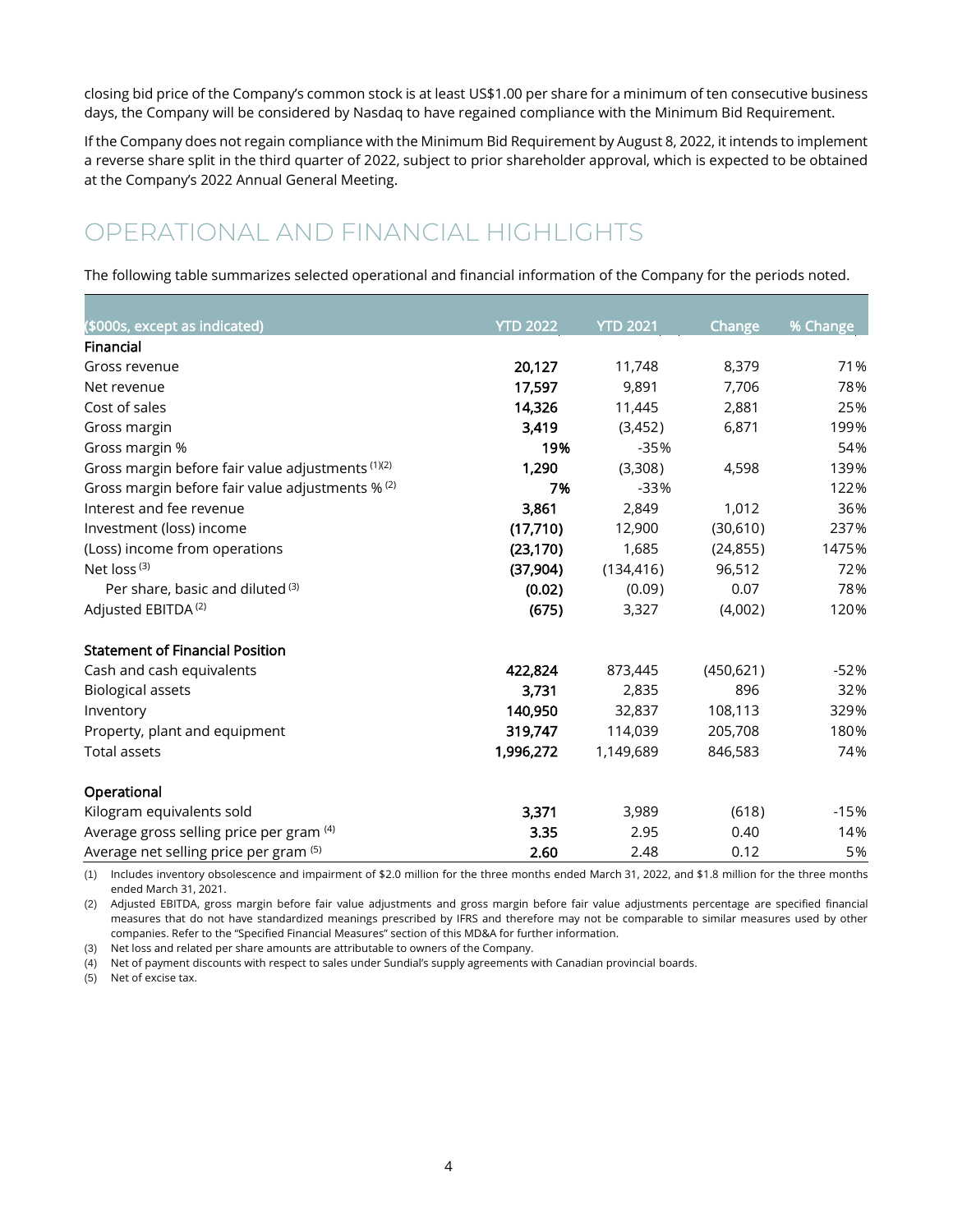closing bid price of the Company's common stock is at least US\$1.00 per share for a minimum of ten consecutive business days, the Company will be considered by Nasdaq to have regained compliance with the Minimum Bid Requirement.

If the Company does not regain compliance with the Minimum Bid Requirement by August 8, 2022, it intends to implement a reverse share split in the third quarter of 2022, subject to prior shareholder approval, which is expected to be obtained at the Company's 2022 Annual General Meeting.

### <span id="page-4-0"></span>OPERATIONAL AND FINANCIAL HIGHLIGHTS

The following table summarizes selected operational and financial information of the Company for the periods noted.

| (\$000s, except as indicated)                     | <b>YTD 2022</b> | <b>YTD 2021</b> | <b>Change</b> | % Change |
|---------------------------------------------------|-----------------|-----------------|---------------|----------|
| Financial                                         |                 |                 |               |          |
| Gross revenue                                     | 20,127          | 11,748          | 8,379         | 71%      |
| Net revenue                                       | 17,597          | 9,891           | 7,706         | 78%      |
| Cost of sales                                     | 14,326          | 11,445          | 2,881         | 25%      |
| Gross margin                                      | 3,419           | (3,452)         | 6,871         | 199%     |
| Gross margin %                                    | 19%             | $-35%$          |               | 54%      |
| Gross margin before fair value adjustments (1)(2) | 1,290           | (3,308)         | 4,598         | 139%     |
| Gross margin before fair value adjustments % (2)  | 7%              | $-33%$          |               | 122%     |
| Interest and fee revenue                          | 3,861           | 2,849           | 1,012         | 36%      |
| Investment (loss) income                          | (17,710)        | 12,900          | (30,610)      | 237%     |
| (Loss) income from operations                     | (23, 170)       | 1,685           | (24, 855)     | 1475%    |
| Net loss <sup>(3)</sup>                           | (37, 904)       | (134, 416)      | 96,512        | 72%      |
| Per share, basic and diluted (3)                  | (0.02)          | (0.09)          | 0.07          | 78%      |
| Adjusted EBITDA <sup>(2)</sup>                    | (675)           | 3,327           | (4,002)       | 120%     |
| <b>Statement of Financial Position</b>            |                 |                 |               |          |
| Cash and cash equivalents                         | 422,824         | 873,445         | (450, 621)    | $-52%$   |
| <b>Biological assets</b>                          | 3,731           | 2,835           | 896           | 32%      |
| Inventory                                         | 140,950         | 32,837          | 108,113       | 329%     |
| Property, plant and equipment                     | 319,747         | 114,039         | 205,708       | 180%     |
| <b>Total assets</b>                               | 1,996,272       | 1,149,689       | 846,583       | 74%      |
| Operational                                       |                 |                 |               |          |
| Kilogram equivalents sold                         | 3,371           | 3,989           | (618)         | $-15%$   |
| Average gross selling price per gram (4)          | 3.35            | 2.95            | 0.40          | 14%      |
| Average net selling price per gram (5)            | 2.60            | 2.48            | 0.12          | 5%       |

(1) Includes inventory obsolescence and impairment of \$2.0 million for the three months ended March 31, 2022, and \$1.8 million for the three months ended March 31, 2021.

(2) Adjusted EBITDA, gross margin before fair value adjustments and gross margin before fair value adjustments percentage are specified financial measures that do not have standardized meanings prescribed by IFRS and therefore may not be comparable to similar measures used by other companies. Refer to the "Specified Financial Measures" section of this MD&A for further information.

(3) Net loss and related per share amounts are attributable to owners of the Company.

(4) Net of payment discounts with respect to sales under Sundial's supply agreements with Canadian provincial boards.

(5) Net of excise tax.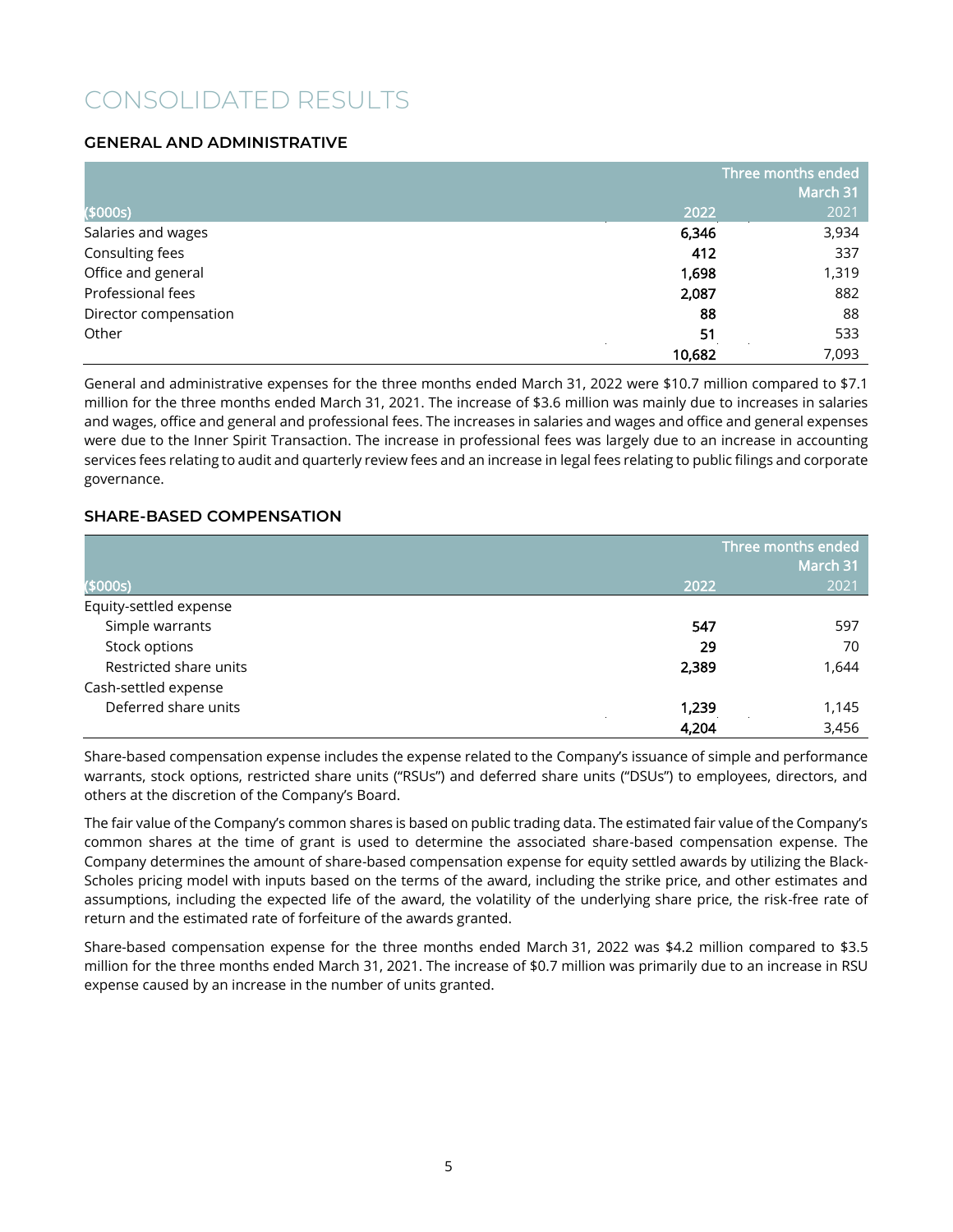### <span id="page-5-0"></span>CONSOLIDATED RESULTS

### **GENERAL AND ADMINISTRATIVE**

|                       |        | Three months ended |
|-----------------------|--------|--------------------|
|                       |        | March 31           |
| (\$000s)              | 2022   | 2021               |
| Salaries and wages    | 6,346  | 3,934              |
| Consulting fees       | 412    | 337                |
| Office and general    | 1,698  | 1,319              |
| Professional fees     | 2,087  | 882                |
| Director compensation | 88     | 88                 |
| Other                 | 51     | 533                |
|                       | 10,682 | 7,093              |

General and administrative expenses for the three months ended March 31, 2022 were \$10.7 million compared to \$7.1 million for the three months ended March 31, 2021. The increase of \$3.6 million was mainly due to increases in salaries and wages, office and general and professional fees. The increases in salaries and wages and office and general expenses were due to the Inner Spirit Transaction. The increase in professional fees was largely due to an increase in accounting services fees relating to audit and quarterly review fees and an increase in legal fees relating to public filings and corporate governance.

### **SHARE-BASED COMPENSATION**

|                        |       | Three months ended<br>March 31 |  |  |
|------------------------|-------|--------------------------------|--|--|
| (\$000s)               | 2022  | 2021                           |  |  |
| Equity-settled expense |       |                                |  |  |
| Simple warrants        | 547   | 597                            |  |  |
| Stock options          | 29    | 70                             |  |  |
| Restricted share units | 2,389 | 1,644                          |  |  |
| Cash-settled expense   |       |                                |  |  |
| Deferred share units   | 1,239 | 1,145                          |  |  |
|                        | 4,204 | 3,456                          |  |  |

Share-based compensation expense includes the expense related to the Company's issuance of simple and performance warrants, stock options, restricted share units ("RSUs") and deferred share units ("DSUs") to employees, directors, and others at the discretion of the Company's Board.

The fair value of the Company's common shares is based on public trading data. The estimated fair value of the Company's common shares at the time of grant is used to determine the associated share-based compensation expense. The Company determines the amount of share-based compensation expense for equity settled awards by utilizing the Black-Scholes pricing model with inputs based on the terms of the award, including the strike price, and other estimates and assumptions, including the expected life of the award, the volatility of the underlying share price, the risk-free rate of return and the estimated rate of forfeiture of the awards granted.

Share-based compensation expense for the three months ended March 31, 2022 was \$4.2 million compared to \$3.5 million for the three months ended March 31, 2021. The increase of \$0.7 million was primarily due to an increase in RSU expense caused by an increase in the number of units granted.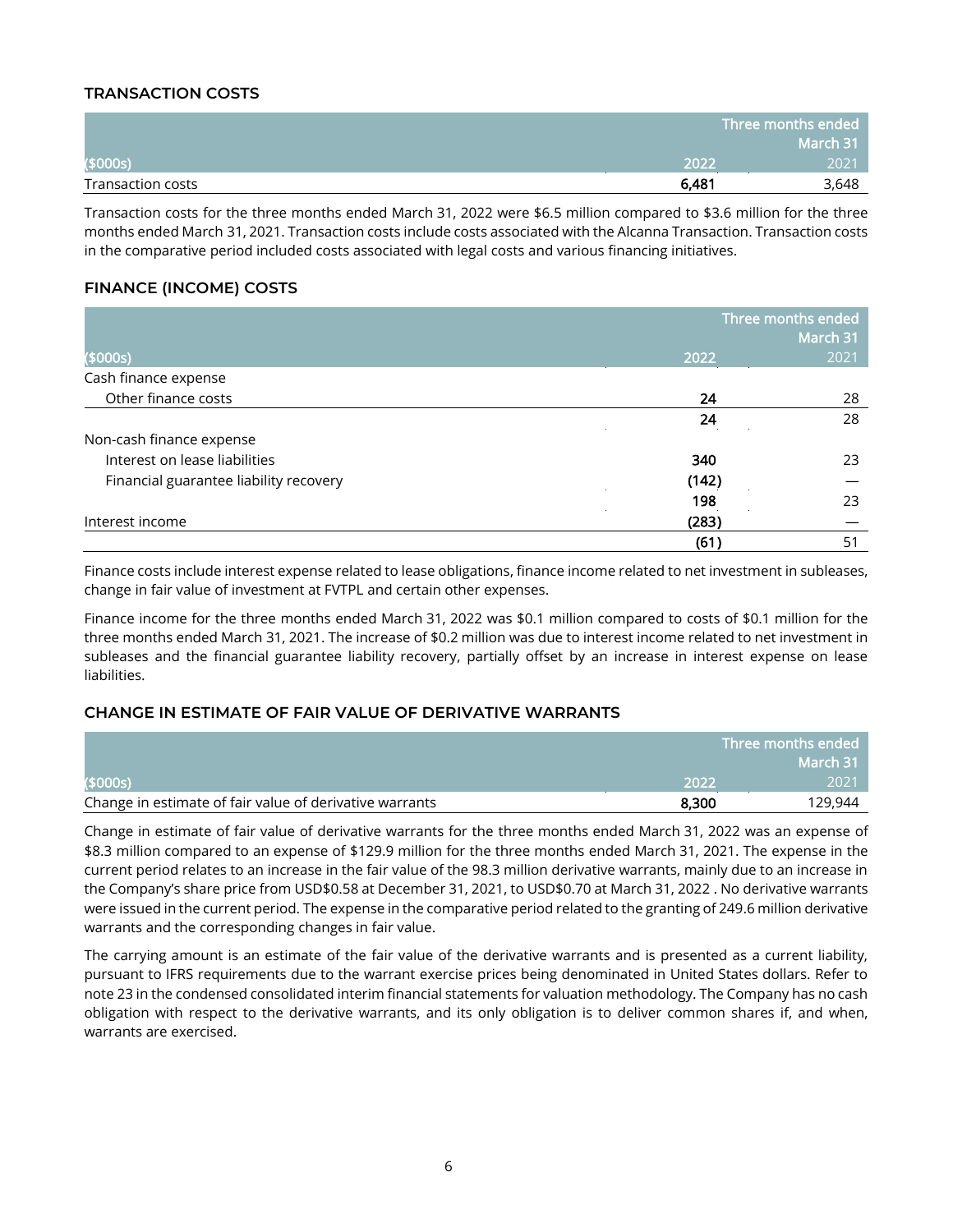### **TRANSACTION COSTS**

|                   |       | Three months ended |
|-------------------|-------|--------------------|
|                   |       | March 31           |
| (\$000s)          | 2022  | 2021               |
| Transaction costs | 6,481 | 3,648              |

Transaction costs for the three months ended March 31, 2022 were \$6.5 million compared to \$3.6 million for the three months ended March 31, 2021. Transaction costs include costs associated with the Alcanna Transaction. Transaction costs in the comparative period included costs associated with legal costs and various financing initiatives.

### **FINANCE (INCOME) COSTS**

|                                        | Three months ended<br>March 31 |      |  |
|----------------------------------------|--------------------------------|------|--|
| (5000s)                                | 2022                           | 2021 |  |
| Cash finance expense                   |                                |      |  |
| Other finance costs                    | 24                             | 28   |  |
|                                        | 24                             | 28   |  |
| Non-cash finance expense               |                                |      |  |
| Interest on lease liabilities          | 340                            | 23   |  |
| Financial guarantee liability recovery | (142)                          |      |  |
|                                        | 198                            | 23   |  |
| Interest income                        | (283)                          |      |  |
|                                        | (61)                           | 51   |  |

Finance costs include interest expense related to lease obligations, finance income related to net investment in subleases, change in fair value of investment at FVTPL and certain other expenses.

Finance income for the three months ended March 31, 2022 was \$0.1 million compared to costs of \$0.1 million for the three months ended March 31, 2021. The increase of \$0.2 million was due to interest income related to net investment in subleases and the financial guarantee liability recovery, partially offset by an increase in interest expense on lease liabilities.

### **CHANGE IN ESTIMATE OF FAIR VALUE OF DERIVATIVE WARRANTS**

|                                                         |       | Three months ended |
|---------------------------------------------------------|-------|--------------------|
|                                                         |       | March 31           |
| (\$000s)                                                | 2022  | 2021'              |
| Change in estimate of fair value of derivative warrants | 8,300 | 129,944            |

Change in estimate of fair value of derivative warrants for the three months ended March 31, 2022 was an expense of \$8.3 million compared to an expense of \$129.9 million for the three months ended March 31, 2021. The expense in the current period relates to an increase in the fair value of the 98.3 million derivative warrants, mainly due to an increase in the Company's share price from USD\$0.58 at December 31, 2021, to USD\$0.70 at March 31, 2022 . No derivative warrants were issued in the current period. The expense in the comparative period related to the granting of 249.6 million derivative warrants and the corresponding changes in fair value.

The carrying amount is an estimate of the fair value of the derivative warrants and is presented as a current liability, pursuant to IFRS requirements due to the warrant exercise prices being denominated in United States dollars. Refer to note 23 in the condensed consolidated interim financial statements for valuation methodology. The Company has no cash obligation with respect to the derivative warrants, and its only obligation is to deliver common shares if, and when, warrants are exercised.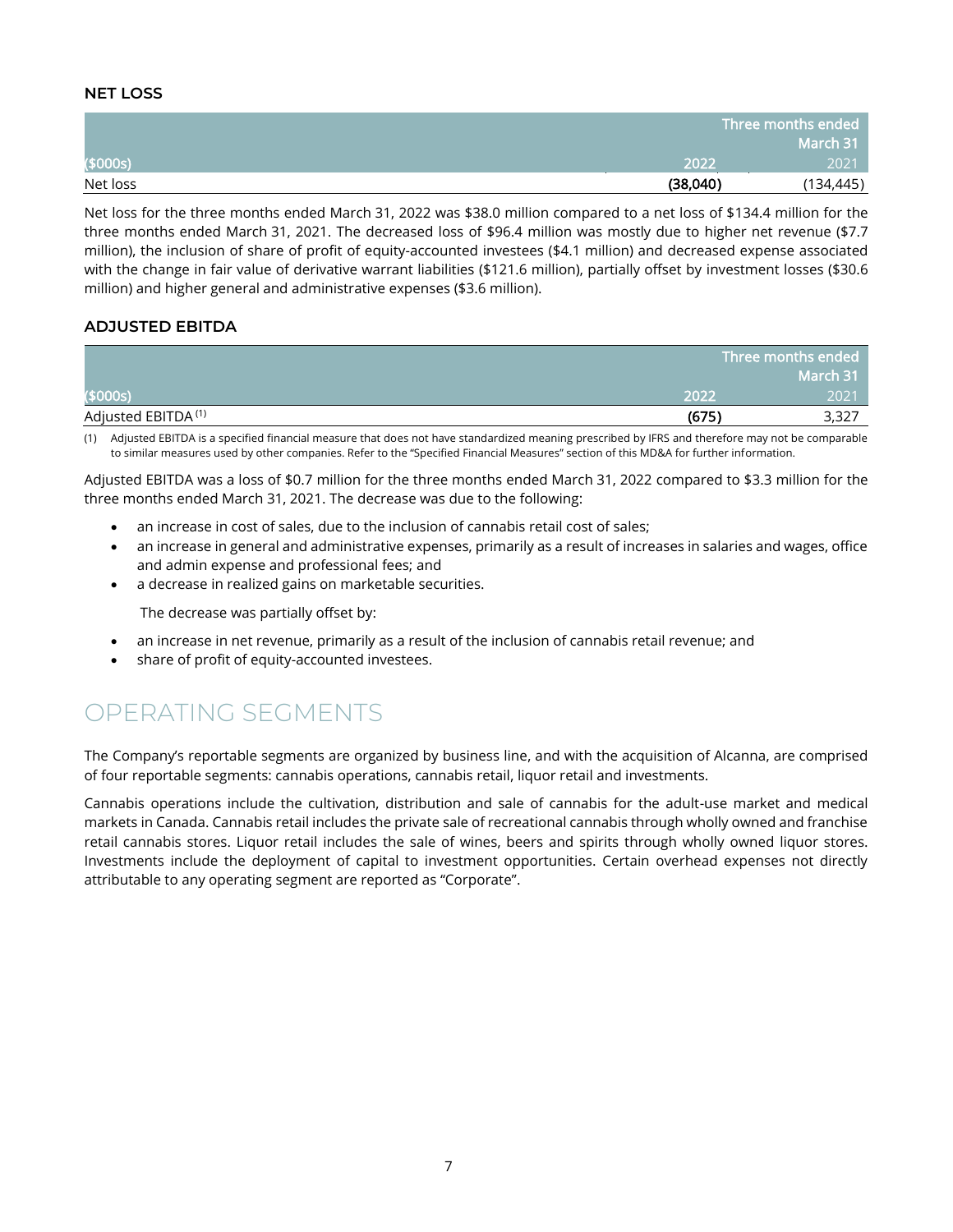### **NET LOSS**

|          |          | Three months ended |
|----------|----------|--------------------|
|          |          | March 31           |
| (\$000s) | 2022     | 2021               |
| Net loss | (38,040) | (134, 445)         |

Net loss for the three months ended March 31, 2022 was \$38.0 million compared to a net loss of \$134.4 million for the three months ended March 31, 2021. The decreased loss of \$96.4 million was mostly due to higher net revenue (\$7.7 million), the inclusion of share of profit of equity-accounted investees (\$4.1 million) and decreased expense associated with the change in fair value of derivative warrant liabilities (\$121.6 million), partially offset by investment losses (\$30.6 million) and higher general and administrative expenses (\$3.6 million).

### **ADJUSTED EBITDA**

|                                |       | Three months ended |
|--------------------------------|-------|--------------------|
|                                |       | March 31           |
| (\$000s)                       | 2022  | 2021               |
| Adjusted EBITDA <sup>(1)</sup> | (675) | 3,327              |

(1) Adjusted EBITDA is a specified financial measure that does not have standardized meaning prescribed by IFRS and therefore may not be comparable to similar measures used by other companies. Refer to the "Specified Financial Measures" section of this MD&A for further information.

Adjusted EBITDA was a loss of \$0.7 million for the three months ended March 31, 2022 compared to \$3.3 million for the three months ended March 31, 2021. The decrease was due to the following:

- an increase in cost of sales, due to the inclusion of cannabis retail cost of sales;
- an increase in general and administrative expenses, primarily as a result of increases in salaries and wages, office and admin expense and professional fees; and
- a decrease in realized gains on marketable securities.

The decrease was partially offset by:

- an increase in net revenue, primarily as a result of the inclusion of cannabis retail revenue; and
- share of profit of equity-accounted investees.

### <span id="page-7-0"></span>OPERATING SEGMENTS

The Company's reportable segments are organized by business line, and with the acquisition of Alcanna, are comprised of four reportable segments: cannabis operations, cannabis retail, liquor retail and investments.

Cannabis operations include the cultivation, distribution and sale of cannabis for the adult-use market and medical markets in Canada. Cannabis retail includes the private sale of recreational cannabis through wholly owned and franchise retail cannabis stores. Liquor retail includes the sale of wines, beers and spirits through wholly owned liquor stores. Investments include the deployment of capital to investment opportunities. Certain overhead expenses not directly attributable to any operating segment are reported as "Corporate".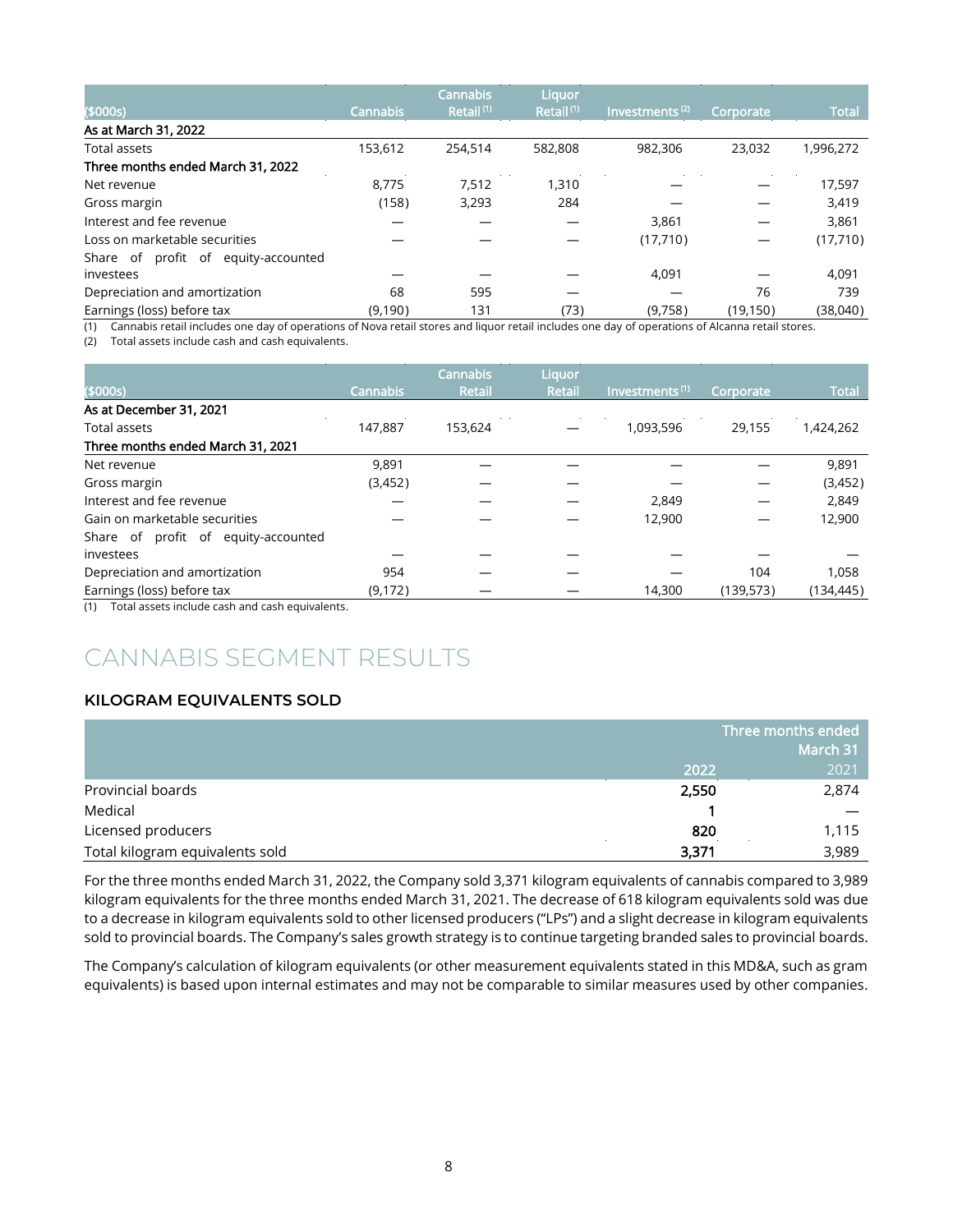|                                     |                 | <b>Cannabis</b>       | Liquor                |                            |                  |              |
|-------------------------------------|-----------------|-----------------------|-----------------------|----------------------------|------------------|--------------|
| (\$000s)                            | <b>Cannabis</b> | Retail <sup>(1)</sup> | Retail <sup>(1)</sup> | Investments <sup>(2)</sup> | <b>Corporate</b> | <b>Total</b> |
| As at March 31, 2022                |                 |                       |                       |                            |                  |              |
| Total assets                        | 153.612         | 254,514               | 582,808               | 982.306                    | 23.032           | 1,996,272    |
| Three months ended March 31, 2022   |                 |                       |                       |                            |                  |              |
| Net revenue                         | 8.775           | 7.512                 | .310                  |                            |                  | 17,597       |
| Gross margin                        | (158)           | 3,293                 | 284                   |                            |                  | 3,419        |
| Interest and fee revenue            |                 |                       |                       | 3,861                      |                  | 3,861        |
| Loss on marketable securities       |                 |                       |                       | (17,710)                   |                  | (17,710)     |
| Share of profit of equity-accounted |                 |                       |                       |                            |                  |              |
| investees                           |                 |                       |                       | 4,091                      |                  | 4,091        |
| Depreciation and amortization       | 68              | 595                   |                       |                            | 76               | 739          |
| Earnings (loss) before tax          | (9,190)         | 131                   | (73)                  | (9,758)                    | (19, 150)        | (38,040)     |

(1) Cannabis retail includes one day of operations of Nova retail stores and liquor retail includes one day of operations of Alcanna retail stores.

(2) Total assets include cash and cash equivalents.

|                                                                                                                                                                                                                                                                                                                                                     |                 | <b>Cannabis</b> | Liquor        |                            |           |              |
|-----------------------------------------------------------------------------------------------------------------------------------------------------------------------------------------------------------------------------------------------------------------------------------------------------------------------------------------------------|-----------------|-----------------|---------------|----------------------------|-----------|--------------|
| (\$000s)                                                                                                                                                                                                                                                                                                                                            | <b>Cannabis</b> | <b>Retail</b>   | <b>Retail</b> | Investments <sup>(1)</sup> | Corporate | <b>Total</b> |
| As at December 31, 2021                                                                                                                                                                                                                                                                                                                             |                 |                 |               |                            |           |              |
| <b>Total assets</b>                                                                                                                                                                                                                                                                                                                                 | 147.887         | 153.624         |               | 1,093,596                  | 29.155    | 1,424,262    |
| Three months ended March 31, 2021                                                                                                                                                                                                                                                                                                                   |                 |                 |               |                            |           |              |
| Net revenue                                                                                                                                                                                                                                                                                                                                         | 9.891           |                 |               |                            |           | 9,891        |
| Gross margin                                                                                                                                                                                                                                                                                                                                        | (3,452)         |                 |               |                            |           | (3,452)      |
| Interest and fee revenue                                                                                                                                                                                                                                                                                                                            |                 |                 |               | 2,849                      |           | 2,849        |
| Gain on marketable securities                                                                                                                                                                                                                                                                                                                       |                 |                 |               | 12,900                     |           | 12,900       |
| Share of profit of equity-accounted                                                                                                                                                                                                                                                                                                                 |                 |                 |               |                            |           |              |
| investees                                                                                                                                                                                                                                                                                                                                           |                 |                 |               |                            |           |              |
| Depreciation and amortization                                                                                                                                                                                                                                                                                                                       | 954             |                 |               |                            | 104       | 1,058        |
| Earnings (loss) before tax                                                                                                                                                                                                                                                                                                                          | (9, 172)        |                 |               | 14.300                     | (139,573) | (134, 445)   |
| $\overline{a}$ , $\overline{a}$ , $\overline{a}$ , $\overline{a}$ , $\overline{a}$ , $\overline{a}$ , $\overline{a}$ , $\overline{a}$ , $\overline{a}$ , $\overline{a}$ , $\overline{a}$ , $\overline{a}$ , $\overline{a}$ , $\overline{a}$ , $\overline{a}$ , $\overline{a}$ , $\overline{a}$ , $\overline{a}$ , $\overline{a}$ , $\overline{a}$ , |                 |                 |               |                            |           |              |

<span id="page-8-0"></span>(1) Total assets include cash and cash equivalents.

### CANNABIS SEGMENT RESULTS

### **KILOGRAM EQUIVALENTS SOLD**

|                                 | Three months ended |       |
|---------------------------------|--------------------|-------|
|                                 | March 31           |       |
|                                 | 2022               | 2021  |
| Provincial boards               | 2,550              | 2,874 |
| Medical                         |                    |       |
| Licensed producers              | 820                | 1,115 |
| Total kilogram equivalents sold | 3,371              | 3,989 |

For the three months ended March 31, 2022, the Company sold 3,371 kilogram equivalents of cannabis compared to 3,989 kilogram equivalents for the three months ended March 31, 2021. The decrease of 618 kilogram equivalents sold was due to a decrease in kilogram equivalents sold to other licensed producers ("LPs") and a slight decrease in kilogram equivalents sold to provincial boards. The Company's sales growth strategy is to continue targeting branded sales to provincial boards.

The Company's calculation of kilogram equivalents (or other measurement equivalents stated in this MD&A, such as gram equivalents) is based upon internal estimates and may not be comparable to similar measures used by other companies.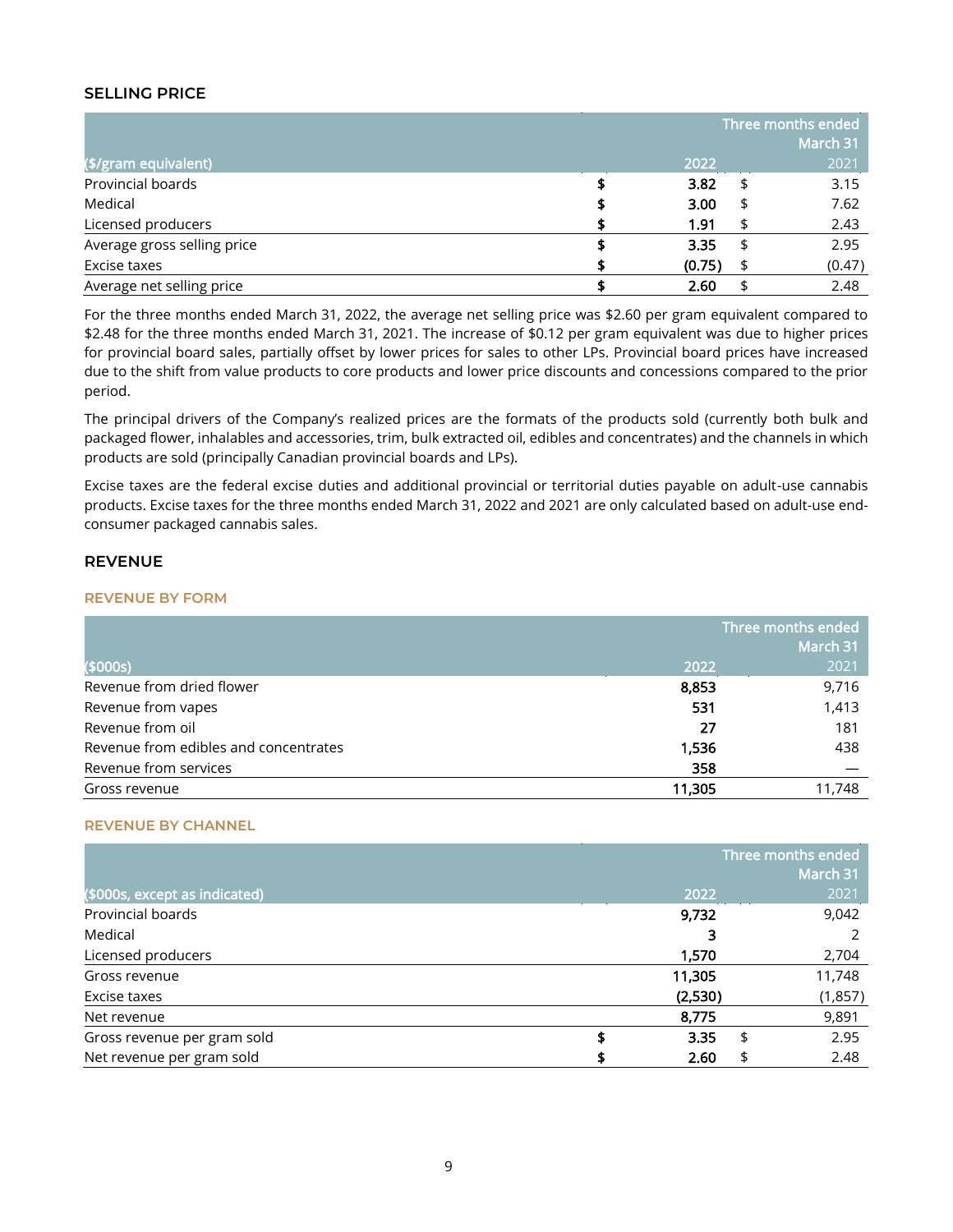#### **SELLING PRICE**

|                             |        |    | Three months ended |
|-----------------------------|--------|----|--------------------|
|                             |        |    | March 31           |
| (\$/gram equivalent)        | 2022   |    | 2021               |
| Provincial boards           | 3.82   | \$ | 3.15               |
| Medical                     | 3.00   | £  | 7.62               |
| Licensed producers          | 1.91   |    | 2.43               |
| Average gross selling price | 3.35   | \$ | 2.95               |
| Excise taxes                | (0.75) | \$ | (0.47)             |
| Average net selling price   | 2.60   |    | 2.48               |

For the three months ended March 31, 2022, the average net selling price was \$2.60 per gram equivalent compared to \$2.48 for the three months ended March 31, 2021. The increase of \$0.12 per gram equivalent was due to higher prices for provincial board sales, partially offset by lower prices for sales to other LPs. Provincial board prices have increased due to the shift from value products to core products and lower price discounts and concessions compared to the prior period.

The principal drivers of the Company's realized prices are the formats of the products sold (currently both bulk and packaged flower, inhalables and accessories, trim, bulk extracted oil, edibles and concentrates) and the channels in which products are sold (principally Canadian provincial boards and LPs).

Excise taxes are the federal excise duties and additional provincial or territorial duties payable on adult-use cannabis products. Excise taxes for the three months ended March 31, 2022 and 2021 are only calculated based on adult-use endconsumer packaged cannabis sales.

#### **REVENUE**

#### **REVENUE BY FORM**

|                                       | Three months ended<br>March 31 |        |  |
|---------------------------------------|--------------------------------|--------|--|
| (\$000s)                              | 2022                           | 2021   |  |
| Revenue from dried flower             | 8,853                          | 9,716  |  |
| Revenue from vapes                    | 531                            | 1,413  |  |
| Revenue from oil                      | 27                             | 181    |  |
| Revenue from edibles and concentrates | 1,536                          | 438    |  |
| Revenue from services                 | 358                            |        |  |
| Gross revenue                         | 11,305                         | 11,748 |  |

#### **REVENUE BY CHANNEL**

|                               | Three months ended |         |    |          |
|-------------------------------|--------------------|---------|----|----------|
|                               |                    |         |    | March 31 |
| (\$000s, except as indicated) |                    | 2022    |    | 2021     |
| Provincial boards             |                    | 9,732   |    | 9,042    |
| Medical                       |                    |         |    |          |
| Licensed producers            |                    | 1,570   |    | 2,704    |
| Gross revenue                 |                    | 11,305  |    | 11,748   |
| Excise taxes                  |                    | (2,530) |    | (1,857)  |
| Net revenue                   |                    | 8,775   |    | 9,891    |
| Gross revenue per gram sold   | \$                 | 3.35    | \$ | 2.95     |
| Net revenue per gram sold     |                    | 2.60    | \$ | 2.48     |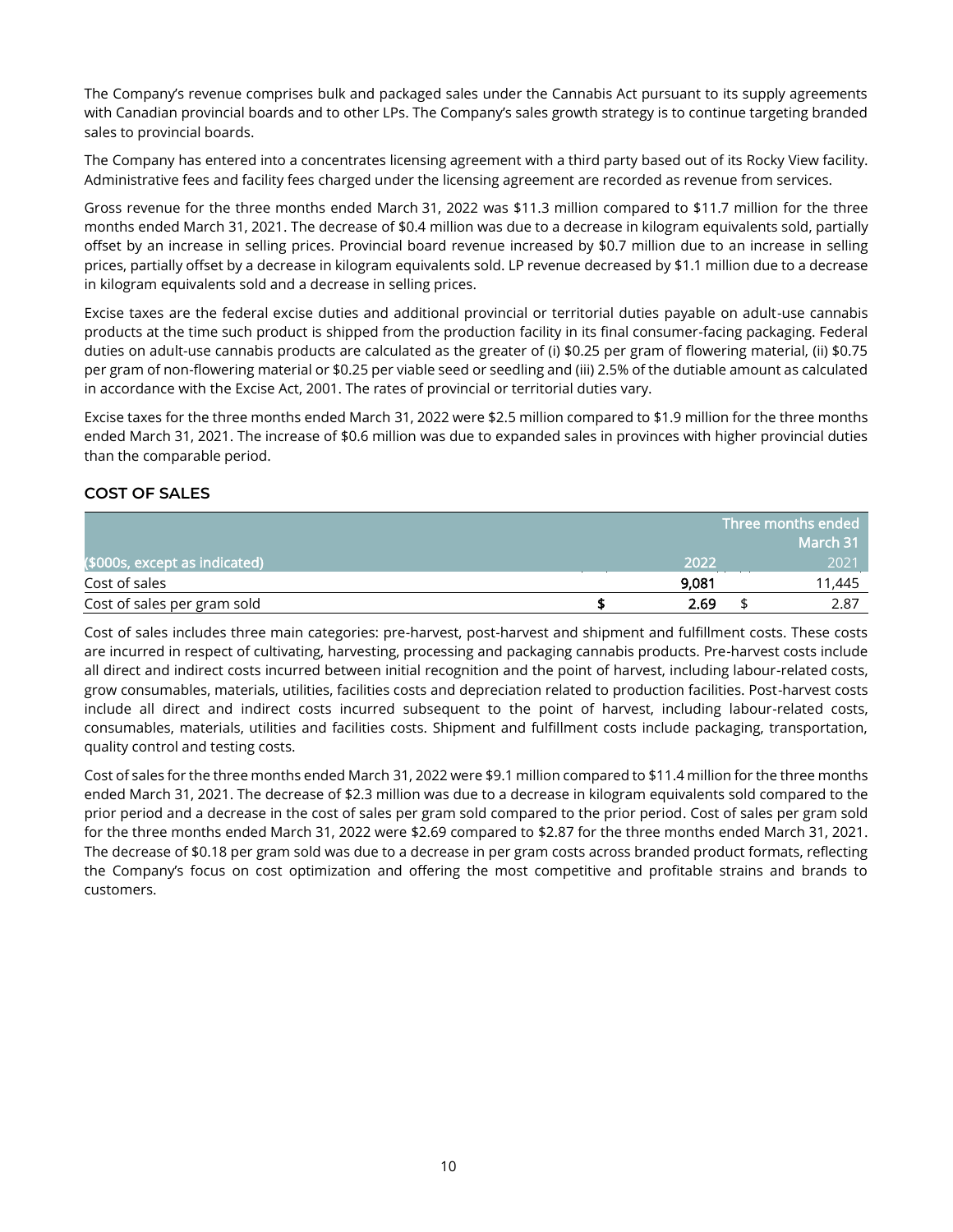The Company's revenue comprises bulk and packaged sales under the Cannabis Act pursuant to its supply agreements with Canadian provincial boards and to other LPs. The Company's sales growth strategy is to continue targeting branded sales to provincial boards.

The Company has entered into a concentrates licensing agreement with a third party based out of its Rocky View facility. Administrative fees and facility fees charged under the licensing agreement are recorded as revenue from services.

Gross revenue for the three months ended March 31, 2022 was \$11.3 million compared to \$11.7 million for the three months ended March 31, 2021. The decrease of \$0.4 million was due to a decrease in kilogram equivalents sold, partially offset by an increase in selling prices. Provincial board revenue increased by \$0.7 million due to an increase in selling prices, partially offset by a decrease in kilogram equivalents sold. LP revenue decreased by \$1.1 million due to a decrease in kilogram equivalents sold and a decrease in selling prices.

Excise taxes are the federal excise duties and additional provincial or territorial duties payable on adult-use cannabis products at the time such product is shipped from the production facility in its final consumer-facing packaging. Federal duties on adult-use cannabis products are calculated as the greater of (i) \$0.25 per gram of flowering material, (ii) \$0.75 per gram of non-flowering material or \$0.25 per viable seed or seedling and (iii) 2.5% of the dutiable amount as calculated in accordance with the Excise Act, 2001. The rates of provincial or territorial duties vary.

Excise taxes for the three months ended March 31, 2022 were \$2.5 million compared to \$1.9 million for the three months ended March 31, 2021. The increase of \$0.6 million was due to expanded sales in provinces with higher provincial duties than the comparable period.

### **COST OF SALES**

|                               |       | Three months ended  |
|-------------------------------|-------|---------------------|
|                               |       | March 31 $^{\rm t}$ |
| (\$000s, except as indicated) | 2022  | 2021                |
| Cost of sales                 | 9,081 | 11,445              |
| Cost of sales per gram sold   | 2.69  | 2.87                |

Cost of sales includes three main categories: pre-harvest, post-harvest and shipment and fulfillment costs. These costs are incurred in respect of cultivating, harvesting, processing and packaging cannabis products. Pre-harvest costs include all direct and indirect costs incurred between initial recognition and the point of harvest, including labour-related costs, grow consumables, materials, utilities, facilities costs and depreciation related to production facilities. Post-harvest costs include all direct and indirect costs incurred subsequent to the point of harvest, including labour-related costs, consumables, materials, utilities and facilities costs. Shipment and fulfillment costs include packaging, transportation, quality control and testing costs.

Cost of sales for the three months ended March 31, 2022 were \$9.1 million compared to \$11.4 million for the three months ended March 31, 2021. The decrease of \$2.3 million was due to a decrease in kilogram equivalents sold compared to the prior period and a decrease in the cost of sales per gram sold compared to the prior period. Cost of sales per gram sold for the three months ended March 31, 2022 were \$2.69 compared to \$2.87 for the three months ended March 31, 2021. The decrease of \$0.18 per gram sold was due to a decrease in per gram costs across branded product formats, reflecting the Company's focus on cost optimization and offering the most competitive and profitable strains and brands to customers.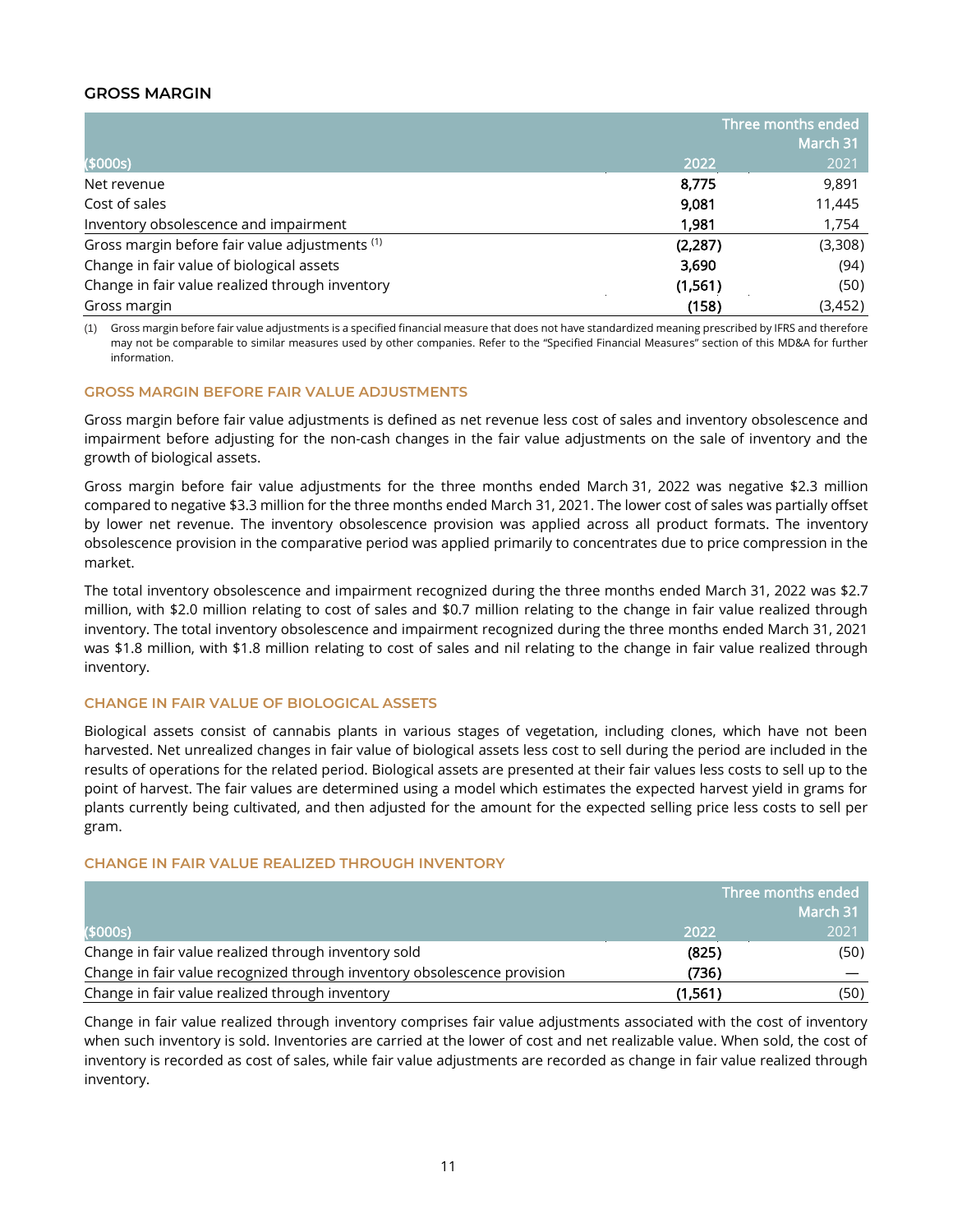### **GROSS MARGIN**

|                                                 | Three months ended |          |
|-------------------------------------------------|--------------------|----------|
|                                                 |                    | March 31 |
| (\$000s)                                        | 2022               | 2021     |
| Net revenue                                     | 8,775              | 9,891    |
| Cost of sales                                   | 9,081              | 11,445   |
| Inventory obsolescence and impairment           | 1.981              | 1,754    |
| Gross margin before fair value adjustments (1)  | (2, 287)           | (3,308)  |
| Change in fair value of biological assets       | 3,690              | (94)     |
| Change in fair value realized through inventory | (1, 561)           | (50)     |
| Gross margin                                    | (158)              | (3,452)  |

(1) Gross margin before fair value adjustments is a specified financial measure that does not have standardized meaning prescribed by IFRS and therefore may not be comparable to similar measures used by other companies. Refer to the "Specified Financial Measures" section of this MD&A for further information.

#### **GROSS MARGIN BEFORE FAIR VALUE ADJUSTMENTS**

Gross margin before fair value adjustments is defined as net revenue less cost of sales and inventory obsolescence and impairment before adjusting for the non-cash changes in the fair value adjustments on the sale of inventory and the growth of biological assets.

Gross margin before fair value adjustments for the three months ended March 31, 2022 was negative \$2.3 million compared to negative \$3.3 million for the three months ended March 31, 2021. The lower cost of sales was partially offset by lower net revenue. The inventory obsolescence provision was applied across all product formats. The inventory obsolescence provision in the comparative period was applied primarily to concentrates due to price compression in the market.

The total inventory obsolescence and impairment recognized during the three months ended March 31, 2022 was \$2.7 million, with \$2.0 million relating to cost of sales and \$0.7 million relating to the change in fair value realized through inventory. The total inventory obsolescence and impairment recognized during the three months ended March 31, 2021 was \$1.8 million, with \$1.8 million relating to cost of sales and nil relating to the change in fair value realized through inventory.

#### **CHANGE IN FAIR VALUE OF BIOLOGICAL ASSETS**

Biological assets consist of cannabis plants in various stages of vegetation, including clones, which have not been harvested. Net unrealized changes in fair value of biological assets less cost to sell during the period are included in the results of operations for the related period. Biological assets are presented at their fair values less costs to sell up to the point of harvest. The fair values are determined using a model which estimates the expected harvest yield in grams for plants currently being cultivated, and then adjusted for the amount for the expected selling price less costs to sell per gram.

#### **CHANGE IN FAIR VALUE REALIZED THROUGH INVENTORY**

|                                                                          | Three months ended |          |
|--------------------------------------------------------------------------|--------------------|----------|
|                                                                          |                    | March 31 |
| (\$000s)                                                                 | 2022               | 2021     |
| Change in fair value realized through inventory sold                     | (825)              | (50)     |
| Change in fair value recognized through inventory obsolescence provision | (736)              |          |
| Change in fair value realized through inventory                          | (1,561)            | (50)     |

Change in fair value realized through inventory comprises fair value adjustments associated with the cost of inventory when such inventory is sold. Inventories are carried at the lower of cost and net realizable value. When sold, the cost of inventory is recorded as cost of sales, while fair value adjustments are recorded as change in fair value realized through inventory.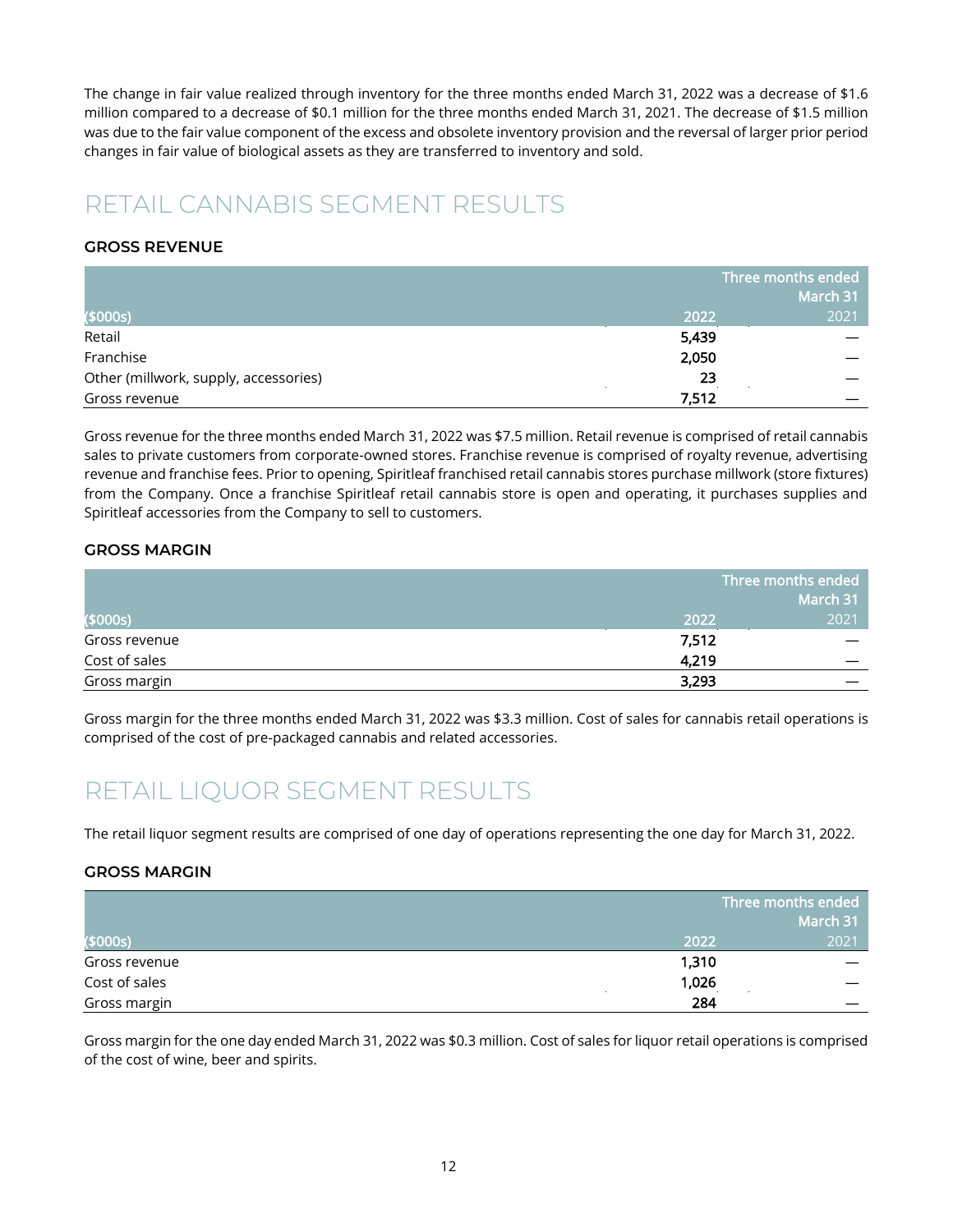The change in fair value realized through inventory for the three months ended March 31, 2022 was a decrease of \$1.6 million compared to a decrease of \$0.1 million for the three months ended March 31, 2021. The decrease of \$1.5 million was due to the fair value component of the excess and obsolete inventory provision and the reversal of larger prior period changes in fair value of biological assets as they are transferred to inventory and sold.

### <span id="page-12-0"></span>RETAIL CANNABIS SEGMENT RESULTS

### **GROSS REVENUE**

|                                       |       | Three months ended |  |  |
|---------------------------------------|-------|--------------------|--|--|
|                                       |       | March 31           |  |  |
| (\$000s)                              | 2022  | 2021               |  |  |
| Retail                                | 5,439 |                    |  |  |
| Franchise                             | 2,050 |                    |  |  |
| Other (millwork, supply, accessories) | 23    |                    |  |  |
| Gross revenue                         | 7,512 |                    |  |  |

Gross revenue for the three months ended March 31, 2022 was \$7.5 million. Retail revenue is comprised of retail cannabis sales to private customers from corporate-owned stores. Franchise revenue is comprised of royalty revenue, advertising revenue and franchise fees. Prior to opening, Spiritleaf franchised retail cannabis stores purchase millwork (store fixtures) from the Company. Once a franchise Spiritleaf retail cannabis store is open and operating, it purchases supplies and Spiritleaf accessories from the Company to sell to customers.

### **GROSS MARGIN**

|               | $^\prime$ Three months ended $_1$<br>March 31 |      |
|---------------|-----------------------------------------------|------|
| (\$000s)      | 2022                                          | 2021 |
| Gross revenue | 7,512                                         |      |
| Cost of sales | 4,219                                         |      |
| Gross margin  | 3,293                                         |      |

Gross margin for the three months ended March 31, 2022 was \$3.3 million. Cost of sales for cannabis retail operations is comprised of the cost of pre-packaged cannabis and related accessories.

### <span id="page-12-1"></span>RETAIL LIQUOR SEGMENT RESULTS

The retail liquor segment results are comprised of one day of operations representing the one day for March 31, 2022.

#### **GROSS MARGIN**

|               | Three months ended |          |
|---------------|--------------------|----------|
|               |                    | March 31 |
| (\$000s)      | 2022               | 2021     |
| Gross revenue | 1,310              |          |
| Cost of sales | 1,026              |          |
| Gross margin  | 284                |          |

Gross margin for the one day ended March 31, 2022 was \$0.3 million. Cost of sales for liquor retail operations is comprised of the cost of wine, beer and spirits.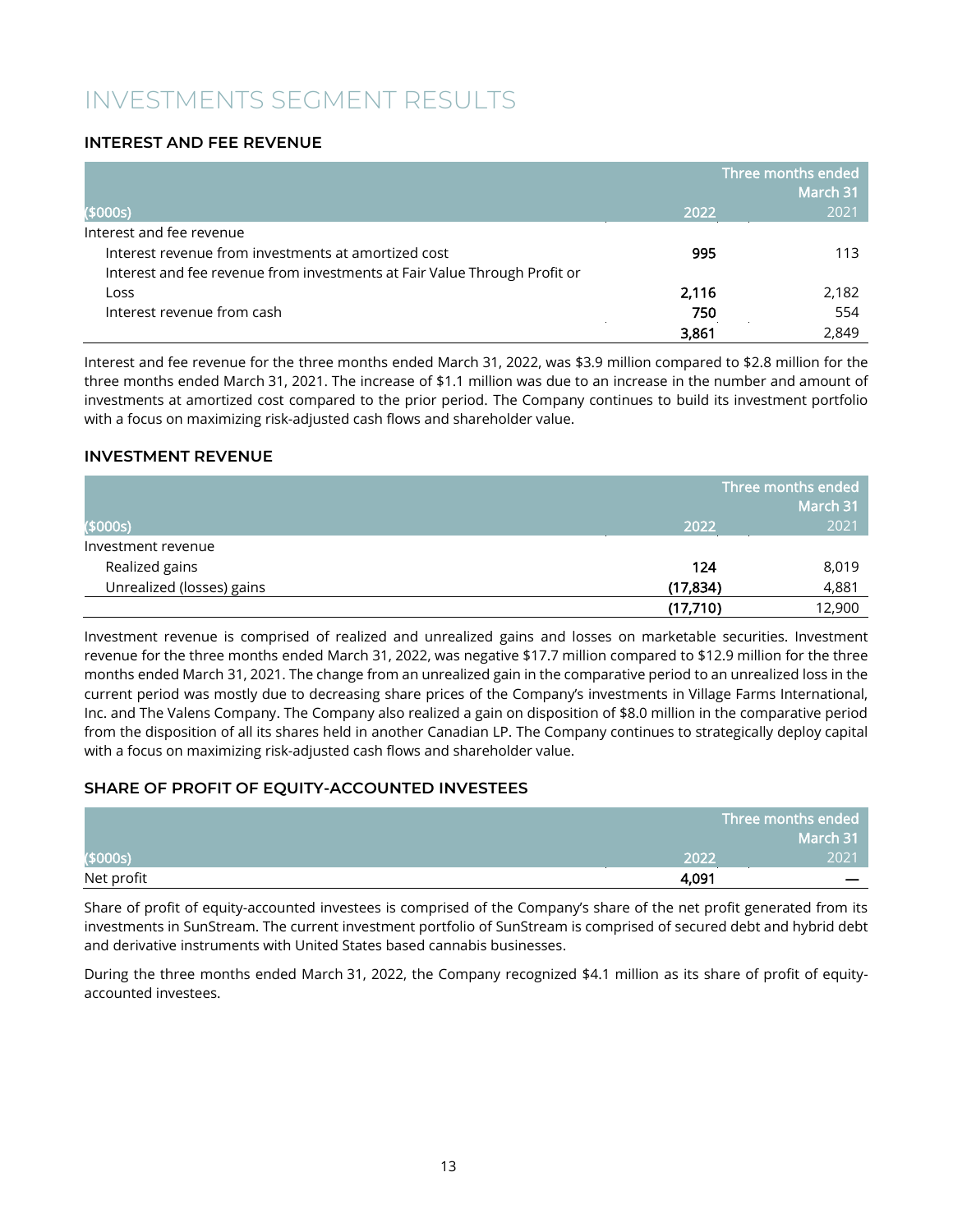### <span id="page-13-0"></span>INVESTMENTS SEGMENT RESULTS

### **INTEREST AND FEE REVENUE**

|                                                                           |       | Three months ended<br>March 31 |
|---------------------------------------------------------------------------|-------|--------------------------------|
| (\$000s)                                                                  | 2022  | 2021                           |
| Interest and fee revenue                                                  |       |                                |
| Interest revenue from investments at amortized cost                       | 995   | 113                            |
| Interest and fee revenue from investments at Fair Value Through Profit or |       |                                |
| Loss                                                                      | 2,116 | 2,182                          |
| Interest revenue from cash                                                | 750   | 554                            |
|                                                                           | 3,861 | 2,849                          |

Interest and fee revenue for the three months ended March 31, 2022, was \$3.9 million compared to \$2.8 million for the three months ended March 31, 2021. The increase of \$1.1 million was due to an increase in the number and amount of investments at amortized cost compared to the prior period. The Company continues to build its investment portfolio with a focus on maximizing risk-adjusted cash flows and shareholder value.

#### **INVESTMENT REVENUE**

|                           |           | Three months ended |  |
|---------------------------|-----------|--------------------|--|
|                           |           | March 31           |  |
| (\$000s)                  | 2022      | 2021               |  |
| Investment revenue        |           |                    |  |
| Realized gains            | 124       | 8,019              |  |
| Unrealized (losses) gains | (17, 834) | 4,881              |  |
|                           | (17,710)  | 12,900             |  |

Investment revenue is comprised of realized and unrealized gains and losses on marketable securities. Investment revenue for the three months ended March 31, 2022, was negative \$17.7 million compared to \$12.9 million for the three months ended March 31, 2021. The change from an unrealized gain in the comparative period to an unrealized loss in the current period was mostly due to decreasing share prices of the Company's investments in Village Farms International, Inc. and The Valens Company. The Company also realized a gain on disposition of \$8.0 million in the comparative period from the disposition of all its shares held in another Canadian LP. The Company continues to strategically deploy capital with a focus on maximizing risk-adjusted cash flows and shareholder value.

### **SHARE OF PROFIT OF EQUITY-ACCOUNTED INVESTEES**

|            |       | Three months ended |
|------------|-------|--------------------|
|            |       | March 31           |
| ( \$000s)  | 2022  | 2021               |
| Net profit | 4,091 |                    |

Share of profit of equity-accounted investees is comprised of the Company's share of the net profit generated from its investments in SunStream. The current investment portfolio of SunStream is comprised of secured debt and hybrid debt and derivative instruments with United States based cannabis businesses.

During the three months ended March 31, 2022, the Company recognized \$4.1 million as its share of profit of equityaccounted investees.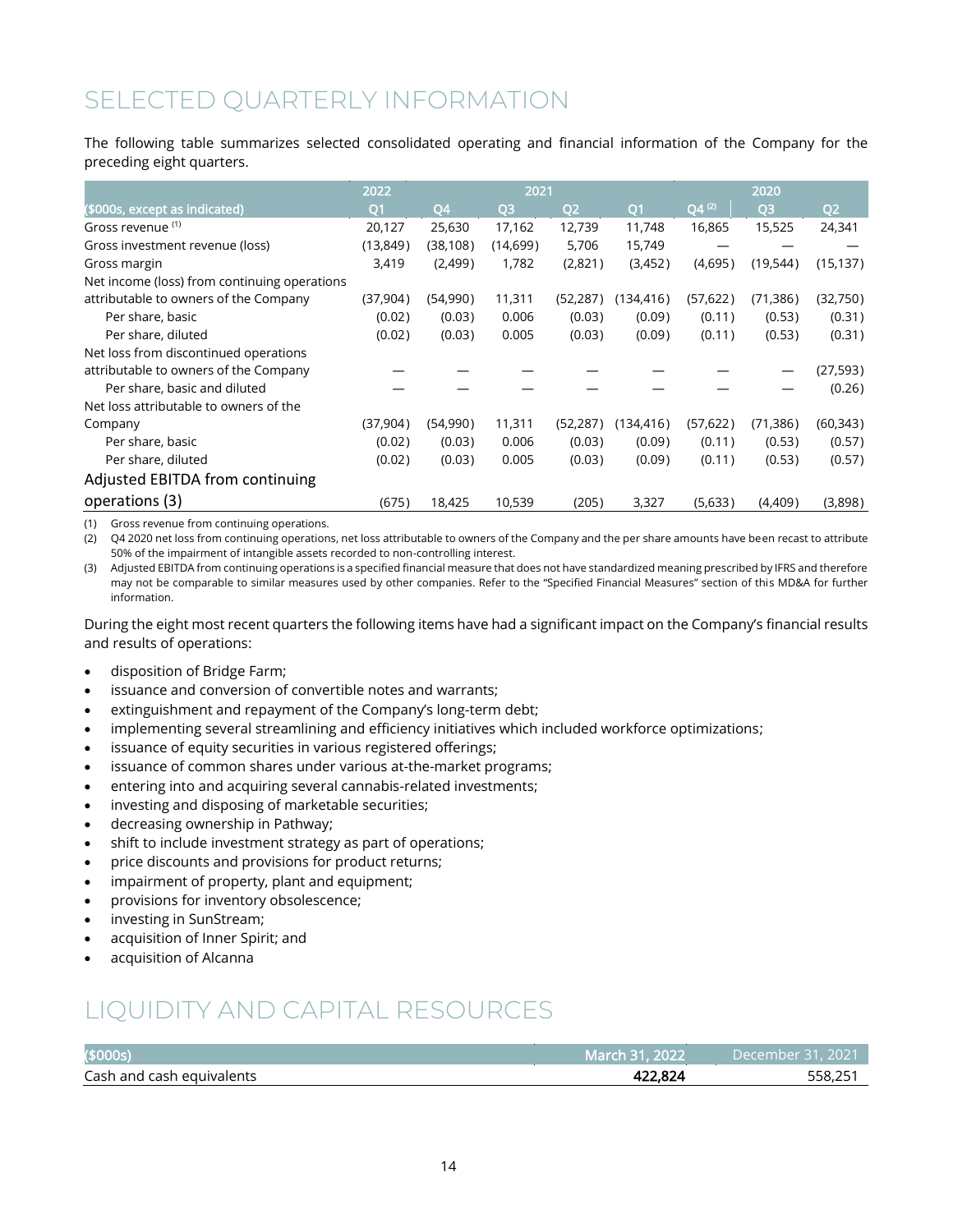### <span id="page-14-0"></span>SELECTED QUARTERLY INFORMATION

The following table summarizes selected consolidated operating and financial information of the Company for the preceding eight quarters.

|                                              | 2022           |           | 2021           |                |                |            | 2020           |           |
|----------------------------------------------|----------------|-----------|----------------|----------------|----------------|------------|----------------|-----------|
| (\$000s, except as indicated)                | Q <sub>1</sub> | Q4        | Q <sub>3</sub> | Q <sub>2</sub> | O <sub>1</sub> | $Q4^{(2)}$ | Q <sub>3</sub> | Q2        |
| Gross revenue (1)                            | 20,127         | 25,630    | 17,162         | 12,739         | 11,748         | 16,865     | 15,525         | 24,341    |
| Gross investment revenue (loss)              | (13, 849)      | (38, 108) | (14,699)       | 5,706          | 15,749         |            |                |           |
| Gross margin                                 | 3,419          | (2,499)   | 1,782          | (2,821)        | (3,452)        | (4,695)    | (19, 544)      | (15, 137) |
| Net income (loss) from continuing operations |                |           |                |                |                |            |                |           |
| attributable to owners of the Company        | (37,904)       | (54,990)  | 11,311         | (52, 287)      | (134,416)      | (57, 622)  | (71,386)       | (32,750)  |
| Per share, basic                             | (0.02)         | (0.03)    | 0.006          | (0.03)         | (0.09)         | (0.11)     | (0.53)         | (0.31)    |
| Per share, diluted                           | (0.02)         | (0.03)    | 0.005          | (0.03)         | (0.09)         | (0.11)     | (0.53)         | (0.31)    |
| Net loss from discontinued operations        |                |           |                |                |                |            |                |           |
| attributable to owners of the Company        |                |           |                |                |                |            |                | (27, 593) |
| Per share, basic and diluted                 |                |           |                |                |                |            |                | (0.26)    |
| Net loss attributable to owners of the       |                |           |                |                |                |            |                |           |
| Company                                      | (37,904)       | (54,990)  | 11,311         | (52, 287)      | (134, 416)     | (57, 622)  | (71,386)       | (60, 343) |
| Per share, basic                             | (0.02)         | (0.03)    | 0.006          | (0.03)         | (0.09)         | (0.11)     | (0.53)         | (0.57)    |
| Per share, diluted                           | (0.02)         | (0.03)    | 0.005          | (0.03)         | (0.09)         | (0.11)     | (0.53)         | (0.57)    |
| Adjusted EBITDA from continuing              |                |           |                |                |                |            |                |           |
| operations (3)                               | (675)          | 18,425    | 10,539         | (205)          | 3,327          | (5,633)    | (4,409)        | (3,898)   |

(1) Gross revenue from continuing operations.

(2) Q4 2020 net loss from continuing operations, net loss attributable to owners of the Company and the per share amounts have been recast to attribute 50% of the impairment of intangible assets recorded to non-controlling interest.

(3) Adjusted EBITDA from continuing operations is a specified financial measure that does not have standardized meaning prescribed by IFRS and therefore may not be comparable to similar measures used by other companies. Refer to the "Specified Financial Measures" section of this MD&A for further information.

During the eight most recent quarters the following items have had a significant impact on the Company's financial results and results of operations:

- disposition of Bridge Farm;
- issuance and conversion of convertible notes and warrants;
- extinguishment and repayment of the Company's long-term debt;
- implementing several streamlining and efficiency initiatives which included workforce optimizations;
- issuance of equity securities in various registered offerings;
- issuance of common shares under various at-the-market programs;
- entering into and acquiring several cannabis-related investments;
- investing and disposing of marketable securities;
- decreasing ownership in Pathway;
- shift to include investment strategy as part of operations;
- price discounts and provisions for product returns;
- impairment of property, plant and equipment;
- provisions for inventory obsolescence;
- investing in SunStream;
- acquisition of Inner Spirit; and
- acquisition of Alcanna

### <span id="page-14-1"></span>LIQUIDITY AND CAPITAL RESOURCES

| (\$000s)                       | .2022<br>Marcl | $\bigcap$<br>)Areml |
|--------------------------------|----------------|---------------------|
| Cash and<br>l cash equivalents | 122.021        | 5X                  |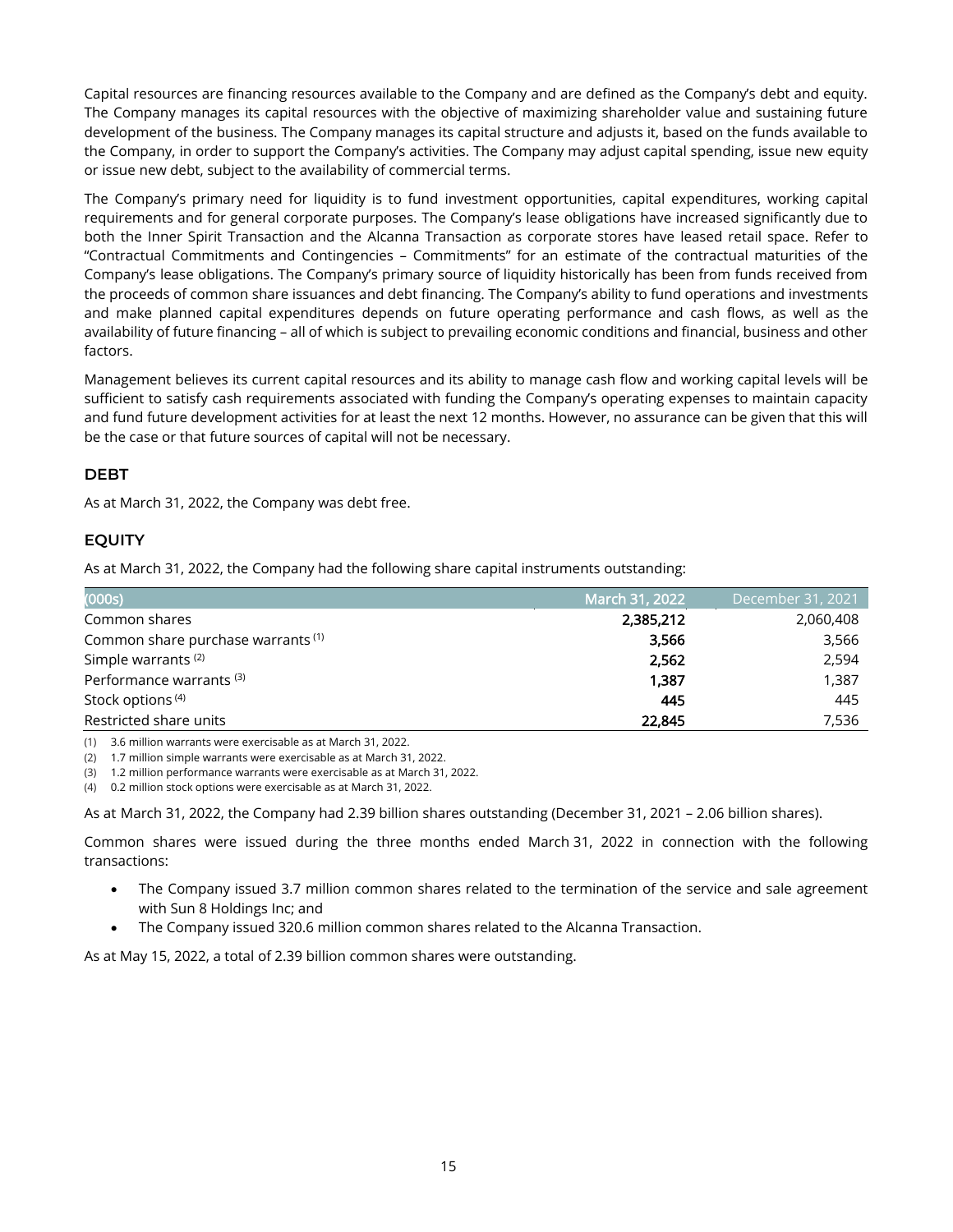Capital resources are financing resources available to the Company and are defined as the Company's debt and equity. The Company manages its capital resources with the objective of maximizing shareholder value and sustaining future development of the business. The Company manages its capital structure and adjusts it, based on the funds available to the Company, in order to support the Company's activities. The Company may adjust capital spending, issue new equity or issue new debt, subject to the availability of commercial terms.

The Company's primary need for liquidity is to fund investment opportunities, capital expenditures, working capital requirements and for general corporate purposes. The Company's lease obligations have increased significantly due to both the Inner Spirit Transaction and the Alcanna Transaction as corporate stores have leased retail space. Refer to "Contractual Commitments and Contingencies – Commitments" for an estimate of the contractual maturities of the Company's lease obligations. The Company's primary source of liquidity historically has been from funds received from the proceeds of common share issuances and debt financing. The Company's ability to fund operations and investments and make planned capital expenditures depends on future operating performance and cash flows, as well as the availability of future financing – all of which is subject to prevailing economic conditions and financial, business and other factors.

Management believes its current capital resources and its ability to manage cash flow and working capital levels will be sufficient to satisfy cash requirements associated with funding the Company's operating expenses to maintain capacity and fund future development activities for at least the next 12 months. However, no assurance can be given that this will be the case or that future sources of capital will not be necessary.

### **DEBT**

As at March 31, 2022, the Company was debt free.

### **EQUITY**

As at March 31, 2022, the Company had the following share capital instruments outstanding:

| (000s)                                        | March 31, 2022 | December 31, 2021 |
|-----------------------------------------------|----------------|-------------------|
| Common shares                                 | 2,385,212      | 2,060,408         |
| Common share purchase warrants <sup>(1)</sup> | 3.566          | 3,566             |
| Simple warrants <sup>(2)</sup>                | 2,562          | 2,594             |
| Performance warrants <sup>(3)</sup>           | 1.387          | 1,387             |
| Stock options <sup>(4)</sup>                  | 445            | 445               |
| Restricted share units                        | 22,845         | 7,536             |

(1) 3.6 million warrants were exercisable as at March 31, 2022.

(2) 1.7 million simple warrants were exercisable as at March 31, 2022.

(3) 1.2 million performance warrants were exercisable as at March 31, 2022.

(4) 0.2 million stock options were exercisable as at March 31, 2022.

As at March 31, 2022, the Company had 2.39 billion shares outstanding (December 31, 2021 – 2.06 billion shares).

Common shares were issued during the three months ended March 31, 2022 in connection with the following transactions:

- The Company issued 3.7 million common shares related to the termination of the service and sale agreement with Sun 8 Holdings Inc; and
- The Company issued 320.6 million common shares related to the Alcanna Transaction.

As at May 15, 2022, a total of 2.39 billion common shares were outstanding.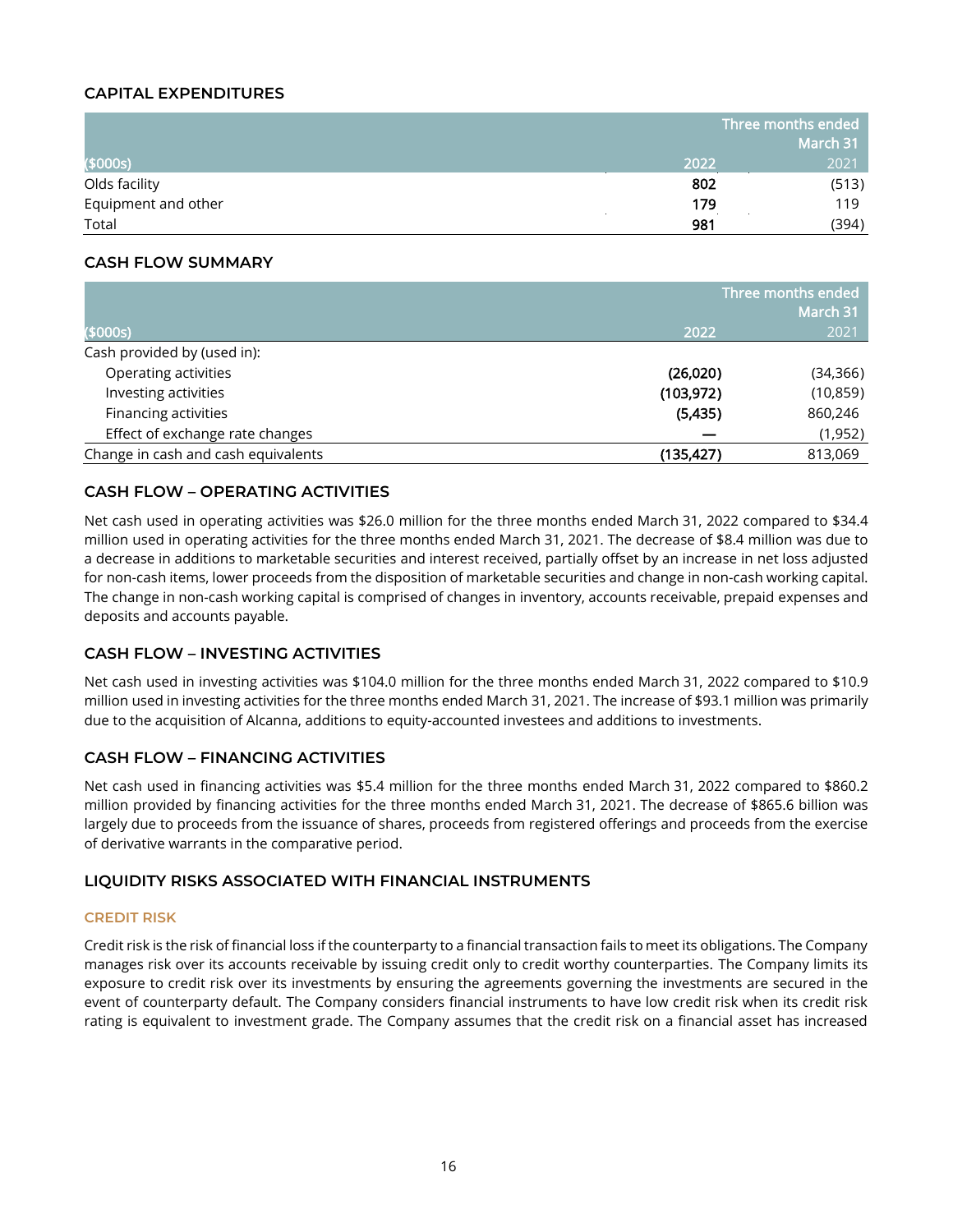### **CAPITAL EXPENDITURES**

|                     |      | Three months ended |  |
|---------------------|------|--------------------|--|
|                     |      | March 31           |  |
| (\$000s)            | 2022 | 2021               |  |
| Olds facility       | 802  | (513)              |  |
| Equipment and other | 179  | 119                |  |
| Total               | 981  | (394)              |  |

#### **CASH FLOW SUMMARY**

|                                     | Three months ended<br>March 31 |           |  |
|-------------------------------------|--------------------------------|-----------|--|
| (\$000s)                            | 2022                           | 2021      |  |
| Cash provided by (used in):         |                                |           |  |
| Operating activities                | (26,020)                       | (34, 366) |  |
| Investing activities                | (103, 972)                     | (10, 859) |  |
| Financing activities                | (5,435)                        | 860,246   |  |
| Effect of exchange rate changes     |                                | (1,952)   |  |
| Change in cash and cash equivalents | (135, 427)                     | 813,069   |  |

### **CASH FLOW – OPERATING ACTIVITIES**

Net cash used in operating activities was \$26.0 million for the three months ended March 31, 2022 compared to \$34.4 million used in operating activities for the three months ended March 31, 2021. The decrease of \$8.4 million was due to a decrease in additions to marketable securities and interest received, partially offset by an increase in net loss adjusted for non-cash items, lower proceeds from the disposition of marketable securities and change in non-cash working capital. The change in non-cash working capital is comprised of changes in inventory, accounts receivable, prepaid expenses and deposits and accounts payable.

### **CASH FLOW – INVESTING ACTIVITIES**

Net cash used in investing activities was \$104.0 million for the three months ended March 31, 2022 compared to \$10.9 million used in investing activities for the three months ended March 31, 2021. The increase of \$93.1 million was primarily due to the acquisition of Alcanna, additions to equity-accounted investees and additions to investments.

### **CASH FLOW – FINANCING ACTIVITIES**

Net cash used in financing activities was \$5.4 million for the three months ended March 31, 2022 compared to \$860.2 million provided by financing activities for the three months ended March 31, 2021. The decrease of \$865.6 billion was largely due to proceeds from the issuance of shares, proceeds from registered offerings and proceeds from the exercise of derivative warrants in the comparative period.

#### **LIQUIDITY RISKS ASSOCIATED WITH FINANCIAL INSTRUMENTS**

#### **CREDIT RISK**

Credit risk is the risk of financial loss if the counterparty to a financial transaction fails to meet its obligations. The Company manages risk over its accounts receivable by issuing credit only to credit worthy counterparties. The Company limits its exposure to credit risk over its investments by ensuring the agreements governing the investments are secured in the event of counterparty default. The Company considers financial instruments to have low credit risk when its credit risk rating is equivalent to investment grade. The Company assumes that the credit risk on a financial asset has increased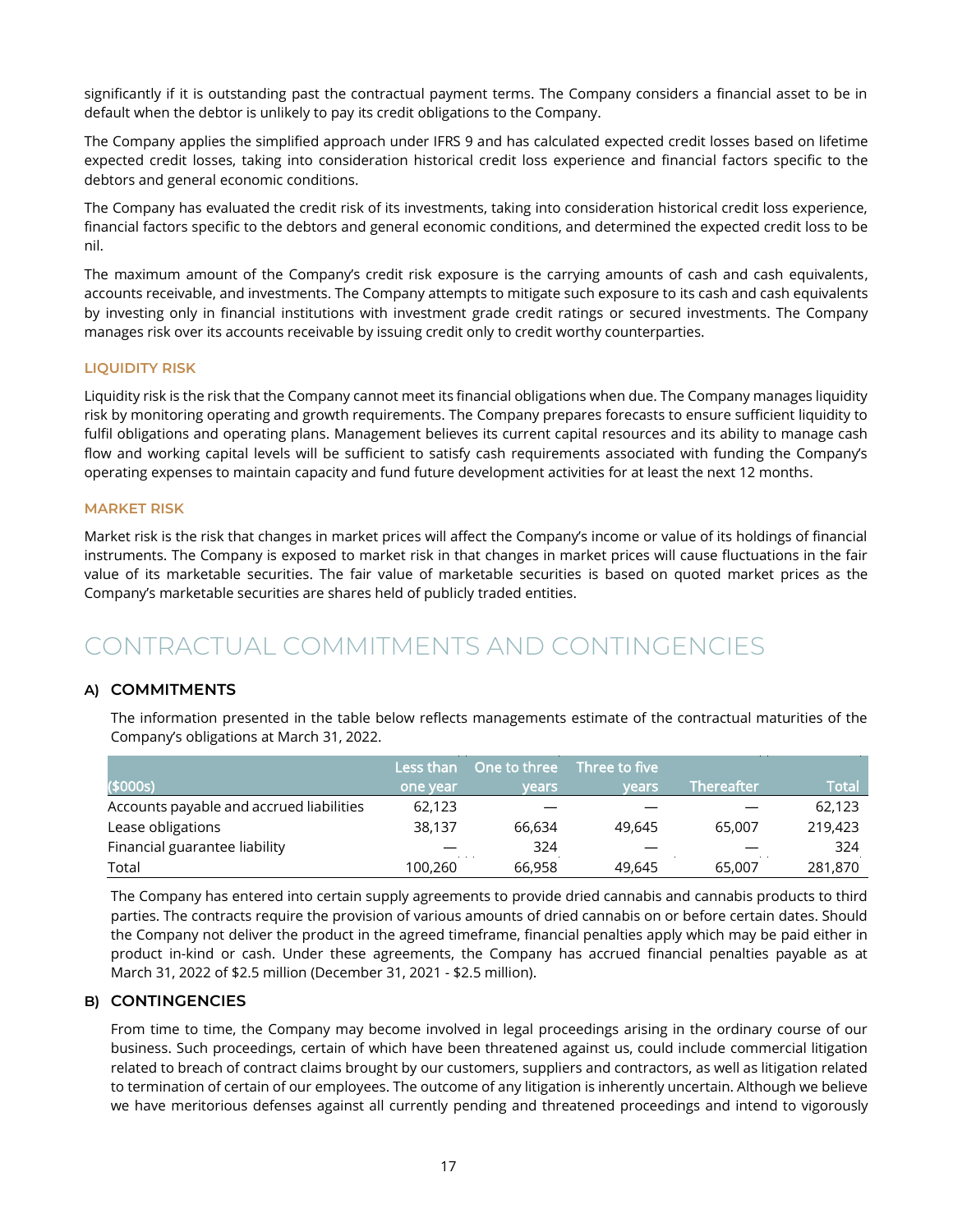significantly if it is outstanding past the contractual payment terms. The Company considers a financial asset to be in default when the debtor is unlikely to pay its credit obligations to the Company.

The Company applies the simplified approach under IFRS 9 and has calculated expected credit losses based on lifetime expected credit losses, taking into consideration historical credit loss experience and financial factors specific to the debtors and general economic conditions.

The Company has evaluated the credit risk of its investments, taking into consideration historical credit loss experience, financial factors specific to the debtors and general economic conditions, and determined the expected credit loss to be nil.

The maximum amount of the Company's credit risk exposure is the carrying amounts of cash and cash equivalents, accounts receivable, and investments. The Company attempts to mitigate such exposure to its cash and cash equivalents by investing only in financial institutions with investment grade credit ratings or secured investments. The Company manages risk over its accounts receivable by issuing credit only to credit worthy counterparties.

#### **LIQUIDITY RISK**

Liquidity risk is the risk that the Company cannot meet its financial obligations when due. The Company manages liquidity risk by monitoring operating and growth requirements. The Company prepares forecasts to ensure sufficient liquidity to fulfil obligations and operating plans. Management believes its current capital resources and its ability to manage cash flow and working capital levels will be sufficient to satisfy cash requirements associated with funding the Company's operating expenses to maintain capacity and fund future development activities for at least the next 12 months.

#### **MARKET RISK**

Market risk is the risk that changes in market prices will affect the Company's income or value of its holdings of financial instruments. The Company is exposed to market risk in that changes in market prices will cause fluctuations in the fair value of its marketable securities. The fair value of marketable securities is based on quoted market prices as the Company's marketable securities are shares held of publicly traded entities.

### <span id="page-17-0"></span>CONTRACTUAL COMMITMENTS AND CONTINGENCIES

### **A) COMMITMENTS**

The information presented in the table below reflects managements estimate of the contractual maturities of the Company's obligations at March 31, 2022.

|                                          | Less than | One to three | Three to five |            |         |
|------------------------------------------|-----------|--------------|---------------|------------|---------|
| (\$000s)                                 | one year  | vears        | vears         | Thereafter | Total   |
| Accounts payable and accrued liabilities | 62,123    |              |               |            | 62,123  |
| Lease obligations                        | 38,137    | 66.634       | 49,645        | 65,007     | 219,423 |
| Financial guarantee liability            |           | 324          |               |            | 324     |
| Total                                    | 100.260   | 66,958       | 49,645        | 65,007     | 281,870 |

The Company has entered into certain supply agreements to provide dried cannabis and cannabis products to third parties. The contracts require the provision of various amounts of dried cannabis on or before certain dates. Should the Company not deliver the product in the agreed timeframe, financial penalties apply which may be paid either in product in-kind or cash. Under these agreements, the Company has accrued financial penalties payable as at March 31, 2022 of \$2.5 million (December 31, 2021 - \$2.5 million).

#### **B) CONTINGENCIES**

From time to time, the Company may become involved in legal proceedings arising in the ordinary course of our business. Such proceedings, certain of which have been threatened against us, could include commercial litigation related to breach of contract claims brought by our customers, suppliers and contractors, as well as litigation related to termination of certain of our employees. The outcome of any litigation is inherently uncertain. Although we believe we have meritorious defenses against all currently pending and threatened proceedings and intend to vigorously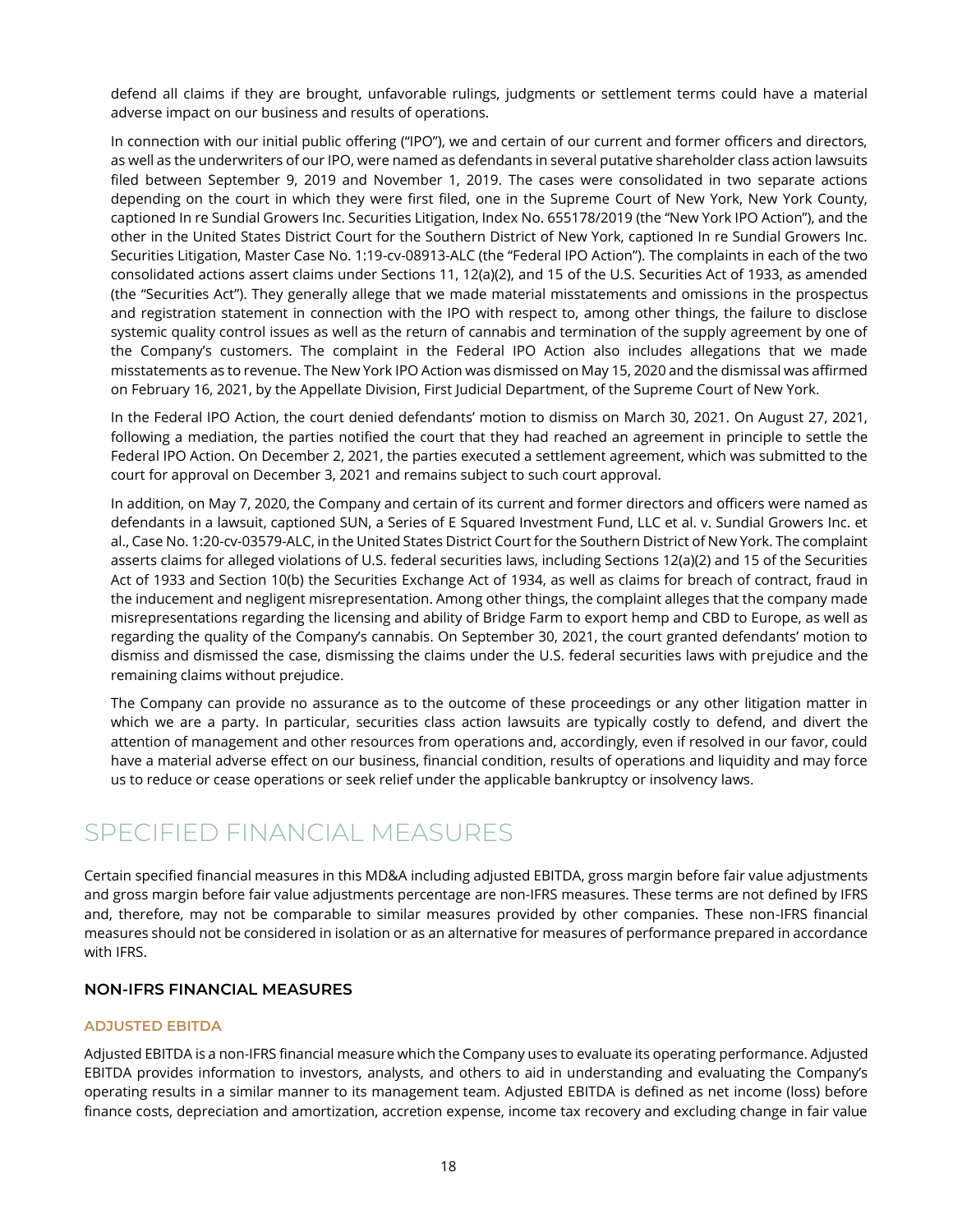defend all claims if they are brought, unfavorable rulings, judgments or settlement terms could have a material adverse impact on our business and results of operations.

In connection with our initial public offering ("IPO"), we and certain of our current and former officers and directors, as well as the underwriters of our IPO, were named as defendants in several putative shareholder class action lawsuits filed between September 9, 2019 and November 1, 2019. The cases were consolidated in two separate actions depending on the court in which they were first filed, one in the Supreme Court of New York, New York County, captioned In re Sundial Growers Inc. Securities Litigation, Index No. 655178/2019 (the "New York IPO Action"), and the other in the United States District Court for the Southern District of New York, captioned In re Sundial Growers Inc. Securities Litigation, Master Case No. 1:19-cv-08913-ALC (the "Federal IPO Action"). The complaints in each of the two consolidated actions assert claims under Sections 11, 12(a)(2), and 15 of the U.S. Securities Act of 1933, as amended (the "Securities Act"). They generally allege that we made material misstatements and omissions in the prospectus and registration statement in connection with the IPO with respect to, among other things, the failure to disclose systemic quality control issues as well as the return of cannabis and termination of the supply agreement by one of the Company's customers. The complaint in the Federal IPO Action also includes allegations that we made misstatements as to revenue. The New York IPO Action was dismissed on May 15, 2020 and the dismissal was affirmed on February 16, 2021, by the Appellate Division, First Judicial Department, of the Supreme Court of New York.

In the Federal IPO Action, the court denied defendants' motion to dismiss on March 30, 2021. On August 27, 2021, following a mediation, the parties notified the court that they had reached an agreement in principle to settle the Federal IPO Action. On December 2, 2021, the parties executed a settlement agreement, which was submitted to the court for approval on December 3, 2021 and remains subject to such court approval.

In addition, on May 7, 2020, the Company and certain of its current and former directors and officers were named as defendants in a lawsuit, captioned SUN, a Series of E Squared Investment Fund, LLC et al. v. Sundial Growers Inc. et al., Case No. 1:20-cv-03579-ALC, in the United States District Court for the Southern District of New York. The complaint asserts claims for alleged violations of U.S. federal securities laws, including Sections 12(a)(2) and 15 of the Securities Act of 1933 and Section 10(b) the Securities Exchange Act of 1934, as well as claims for breach of contract, fraud in the inducement and negligent misrepresentation. Among other things, the complaint alleges that the company made misrepresentations regarding the licensing and ability of Bridge Farm to export hemp and CBD to Europe, as well as regarding the quality of the Company's cannabis. On September 30, 2021, the court granted defendants' motion to dismiss and dismissed the case, dismissing the claims under the U.S. federal securities laws with prejudice and the remaining claims without prejudice.

The Company can provide no assurance as to the outcome of these proceedings or any other litigation matter in which we are a party. In particular, securities class action lawsuits are typically costly to defend, and divert the attention of management and other resources from operations and, accordingly, even if resolved in our favor, could have a material adverse effect on our business, financial condition, results of operations and liquidity and may force us to reduce or cease operations or seek relief under the applicable bankruptcy or insolvency laws.

### <span id="page-18-0"></span>SPECIFIED FINANCIAL MEASURES

Certain specified financial measures in this MD&A including adjusted EBITDA, gross margin before fair value adjustments and gross margin before fair value adjustments percentage are non-IFRS measures. These terms are not defined by IFRS and, therefore, may not be comparable to similar measures provided by other companies. These non-IFRS financial measures should not be considered in isolation or as an alternative for measures of performance prepared in accordance with IFRS.

### **NON-IFRS FINANCIAL MEASURES**

#### **ADJUSTED EBITDA**

Adjusted EBITDA is a non-IFRS financial measure which the Company uses to evaluate its operating performance. Adjusted EBITDA provides information to investors, analysts, and others to aid in understanding and evaluating the Company's operating results in a similar manner to its management team. Adjusted EBITDA is defined as net income (loss) before finance costs, depreciation and amortization, accretion expense, income tax recovery and excluding change in fair value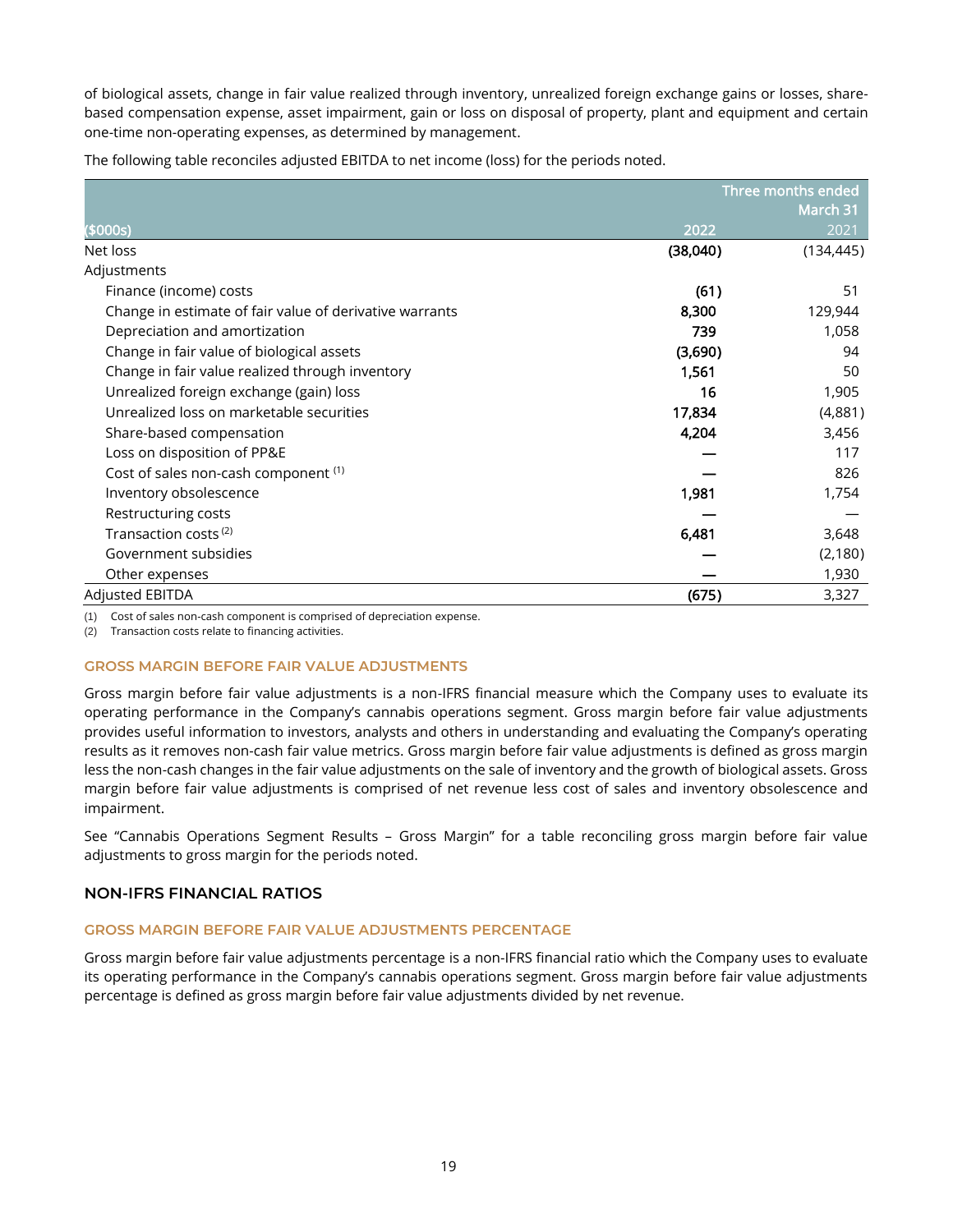of biological assets, change in fair value realized through inventory, unrealized foreign exchange gains or losses, sharebased compensation expense, asset impairment, gain or loss on disposal of property, plant and equipment and certain one-time non-operating expenses, as determined by management.

The following table reconciles adjusted EBITDA to net income (loss) for the periods noted.

|                                                         |          | Three months ended |
|---------------------------------------------------------|----------|--------------------|
|                                                         |          | March 31           |
| (\$000s)                                                | 2022     | 2021               |
| Net loss                                                | (38,040) | (134, 445)         |
| Adjustments                                             |          |                    |
| Finance (income) costs                                  | (61)     | 51                 |
| Change in estimate of fair value of derivative warrants | 8,300    | 129,944            |
| Depreciation and amortization                           | 739      | 1,058              |
| Change in fair value of biological assets               | (3,690)  | 94                 |
| Change in fair value realized through inventory         | 1,561    | 50                 |
| Unrealized foreign exchange (gain) loss                 | 16       | 1,905              |
| Unrealized loss on marketable securities                | 17,834   | (4,881)            |
| Share-based compensation                                | 4,204    | 3,456              |
| Loss on disposition of PP&E                             |          | 117                |
| Cost of sales non-cash component (1)                    |          | 826                |
| Inventory obsolescence                                  | 1,981    | 1,754              |
| Restructuring costs                                     |          |                    |
| Transaction costs <sup>(2)</sup>                        | 6,481    | 3,648              |
| Government subsidies                                    |          | (2,180)            |
| Other expenses                                          |          | 1,930              |
| <b>Adjusted EBITDA</b>                                  | (675)    | 3,327              |

(1) Cost of sales non-cash component is comprised of depreciation expense.

(2) Transaction costs relate to financing activities.

#### **GROSS MARGIN BEFORE FAIR VALUE ADJUSTMENTS**

Gross margin before fair value adjustments is a non-IFRS financial measure which the Company uses to evaluate its operating performance in the Company's cannabis operations segment. Gross margin before fair value adjustments provides useful information to investors, analysts and others in understanding and evaluating the Company's operating results as it removes non-cash fair value metrics. Gross margin before fair value adjustments is defined as gross margin less the non-cash changes in the fair value adjustments on the sale of inventory and the growth of biological assets. Gross margin before fair value adjustments is comprised of net revenue less cost of sales and inventory obsolescence and impairment.

See "Cannabis Operations Segment Results – Gross Margin" for a table reconciling gross margin before fair value adjustments to gross margin for the periods noted.

#### **NON-IFRS FINANCIAL RATIOS**

#### **GROSS MARGIN BEFORE FAIR VALUE ADJUSTMENTS PERCENTAGE**

Gross margin before fair value adjustments percentage is a non-IFRS financial ratio which the Company uses to evaluate its operating performance in the Company's cannabis operations segment. Gross margin before fair value adjustments percentage is defined as gross margin before fair value adjustments divided by net revenue.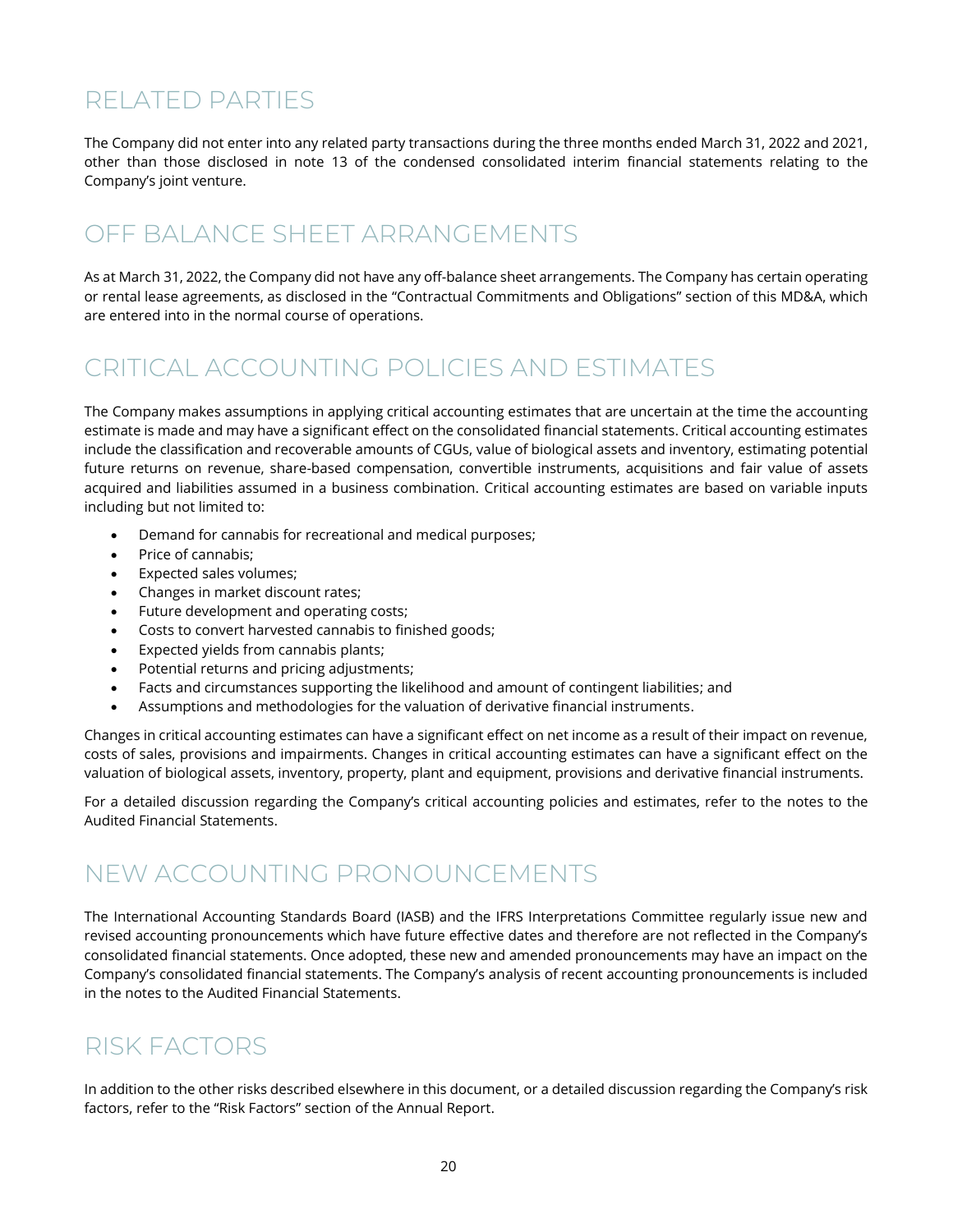### <span id="page-20-0"></span>RELATED PARTIES

The Company did not enter into any related party transactions during the three months ended March 31, 2022 and 2021, other than those disclosed in note 13 of the condensed consolidated interim financial statements relating to the Company's joint venture.

### <span id="page-20-1"></span>OFF BALANCE SHEET ARRANGEMENTS

As at March 31, 2022, the Company did not have any off-balance sheet arrangements. The Company has certain operating or rental lease agreements, as disclosed in the "Contractual Commitments and Obligations" section of this MD&A, which are entered into in the normal course of operations.

### <span id="page-20-2"></span>CRITICAL ACCOUNTING POLICIES AND ESTIMATES

The Company makes assumptions in applying critical accounting estimates that are uncertain at the time the accounting estimate is made and may have a significant effect on the consolidated financial statements. Critical accounting estimates include the classification and recoverable amounts of CGUs, value of biological assets and inventory, estimating potential future returns on revenue, share-based compensation, convertible instruments, acquisitions and fair value of assets acquired and liabilities assumed in a business combination. Critical accounting estimates are based on variable inputs including but not limited to:

- Demand for cannabis for recreational and medical purposes;
- Price of cannabis;
- Expected sales volumes;
- Changes in market discount rates;
- Future development and operating costs;
- Costs to convert harvested cannabis to finished goods;
- Expected yields from cannabis plants;
- Potential returns and pricing adjustments;
- Facts and circumstances supporting the likelihood and amount of contingent liabilities; and
- Assumptions and methodologies for the valuation of derivative financial instruments.

Changes in critical accounting estimates can have a significant effect on net income as a result of their impact on revenue, costs of sales, provisions and impairments. Changes in critical accounting estimates can have a significant effect on the valuation of biological assets, inventory, property, plant and equipment, provisions and derivative financial instruments.

For a detailed discussion regarding the Company's critical accounting policies and estimates, refer to the notes to the Audited Financial Statements.

### <span id="page-20-3"></span>NEW ACCOUNTING PRONOUNCEMENTS

The International Accounting Standards Board (IASB) and the IFRS Interpretations Committee regularly issue new and revised accounting pronouncements which have future effective dates and therefore are not reflected in the Company's consolidated financial statements. Once adopted, these new and amended pronouncements may have an impact on the Company's consolidated financial statements. The Company's analysis of recent accounting pronouncements is included in the notes to the Audited Financial Statements.

### <span id="page-20-4"></span>RISK FACTORS

In addition to the other risks described elsewhere in this document, or a detailed discussion regarding the Company's risk factors, refer to the "Risk Factors" section of the Annual Report.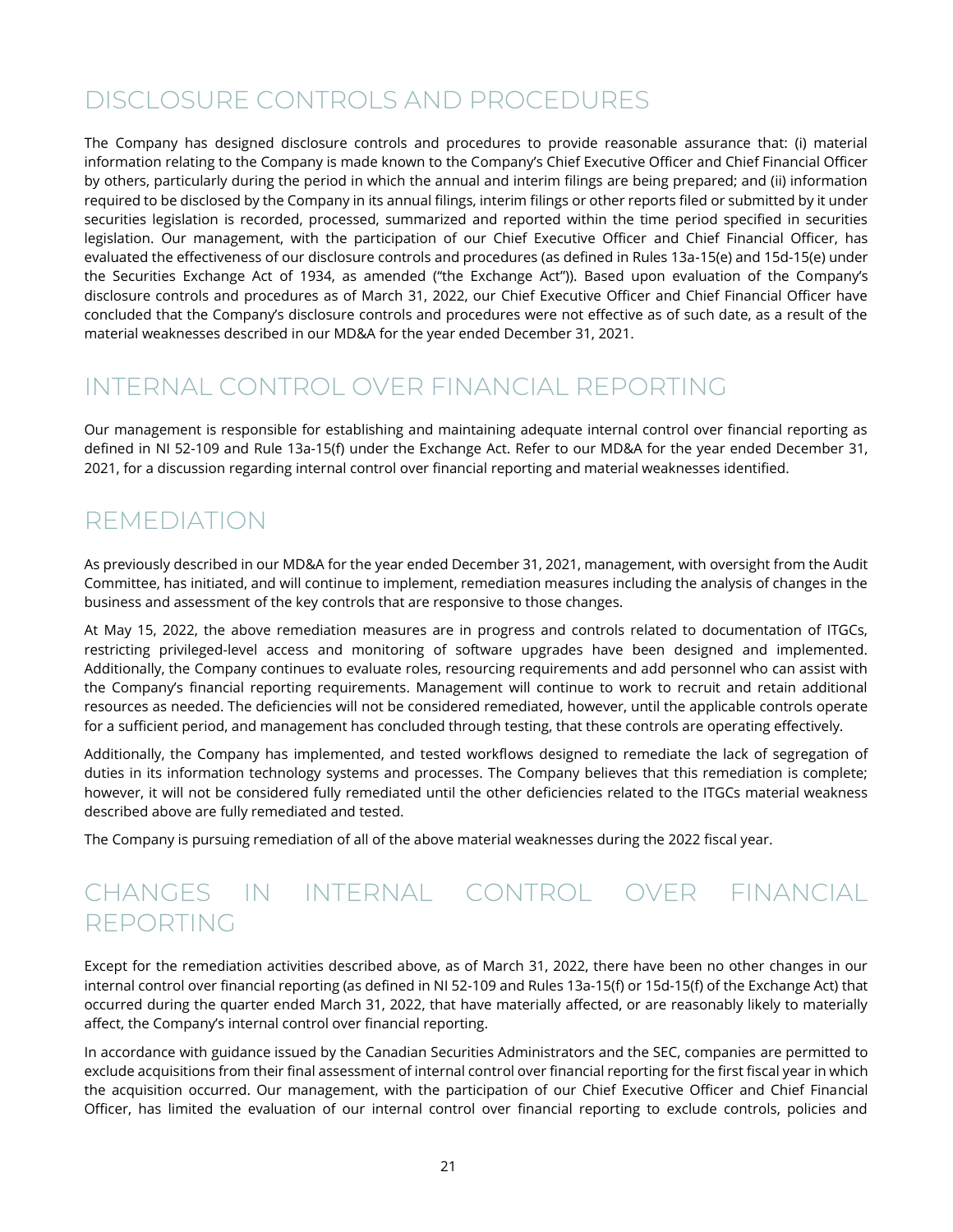### <span id="page-21-0"></span>DISCLOSURE CONTROLS AND PROCEDURES

The Company has designed disclosure controls and procedures to provide reasonable assurance that: (i) material information relating to the Company is made known to the Company's Chief Executive Officer and Chief Financial Officer by others, particularly during the period in which the annual and interim filings are being prepared; and (ii) information required to be disclosed by the Company in its annual filings, interim filings or other reports filed or submitted by it under securities legislation is recorded, processed, summarized and reported within the time period specified in securities legislation. Our management, with the participation of our Chief Executive Officer and Chief Financial Officer, has evaluated the effectiveness of our disclosure controls and procedures (as defined in Rules 13a-15(e) and 15d-15(e) under the Securities Exchange Act of 1934, as amended ("the Exchange Act")). Based upon evaluation of the Company's disclosure controls and procedures as of March 31, 2022, our Chief Executive Officer and Chief Financial Officer have concluded that the Company's disclosure controls and procedures were not effective as of such date, as a result of the material weaknesses described in our MD&A for the year ended December 31, 2021.

### <span id="page-21-1"></span>INTERNAL CONTROL OVER FINANCIAL REPORTING

Our management is responsible for establishing and maintaining adequate internal control over financial reporting as defined in NI 52-109 and Rule 13a-15(f) under the Exchange Act. Refer to our MD&A for the year ended December 31, 2021, for a discussion regarding internal control over financial reporting and material weaknesses identified.

### <span id="page-21-2"></span>REMEDIATION

As previously described in our MD&A for the year ended December 31, 2021, management, with oversight from the Audit Committee, has initiated, and will continue to implement, remediation measures including the analysis of changes in the business and assessment of the key controls that are responsive to those changes.

At May 15, 2022, the above remediation measures are in progress and controls related to documentation of ITGCs, restricting privileged-level access and monitoring of software upgrades have been designed and implemented. Additionally, the Company continues to evaluate roles, resourcing requirements and add personnel who can assist with the Company's financial reporting requirements. Management will continue to work to recruit and retain additional resources as needed. The deficiencies will not be considered remediated, however, until the applicable controls operate for a sufficient period, and management has concluded through testing, that these controls are operating effectively.

Additionally, the Company has implemented, and tested workflows designed to remediate the lack of segregation of duties in its information technology systems and processes. The Company believes that this remediation is complete; however, it will not be considered fully remediated until the other deficiencies related to the ITGCs material weakness described above are fully remediated and tested.

The Company is pursuing remediation of all of the above material weaknesses during the 2022 fiscal year.

### <span id="page-21-3"></span>CHANGES IN INTERNAL CONTROL OVER FINANCIAL REPORTING

Except for the remediation activities described above, as of March 31, 2022, there have been no other changes in our internal control over financial reporting (as defined in NI 52-109 and Rules 13a-15(f) or 15d-15(f) of the Exchange Act) that occurred during the quarter ended March 31, 2022, that have materially affected, or are reasonably likely to materially affect, the Company's internal control over financial reporting.

In accordance with guidance issued by the Canadian Securities Administrators and the SEC, companies are permitted to exclude acquisitions from their final assessment of internal control over financial reporting for the first fiscal year in which the acquisition occurred. Our management, with the participation of our Chief Executive Officer and Chief Financial Officer, has limited the evaluation of our internal control over financial reporting to exclude controls, policies and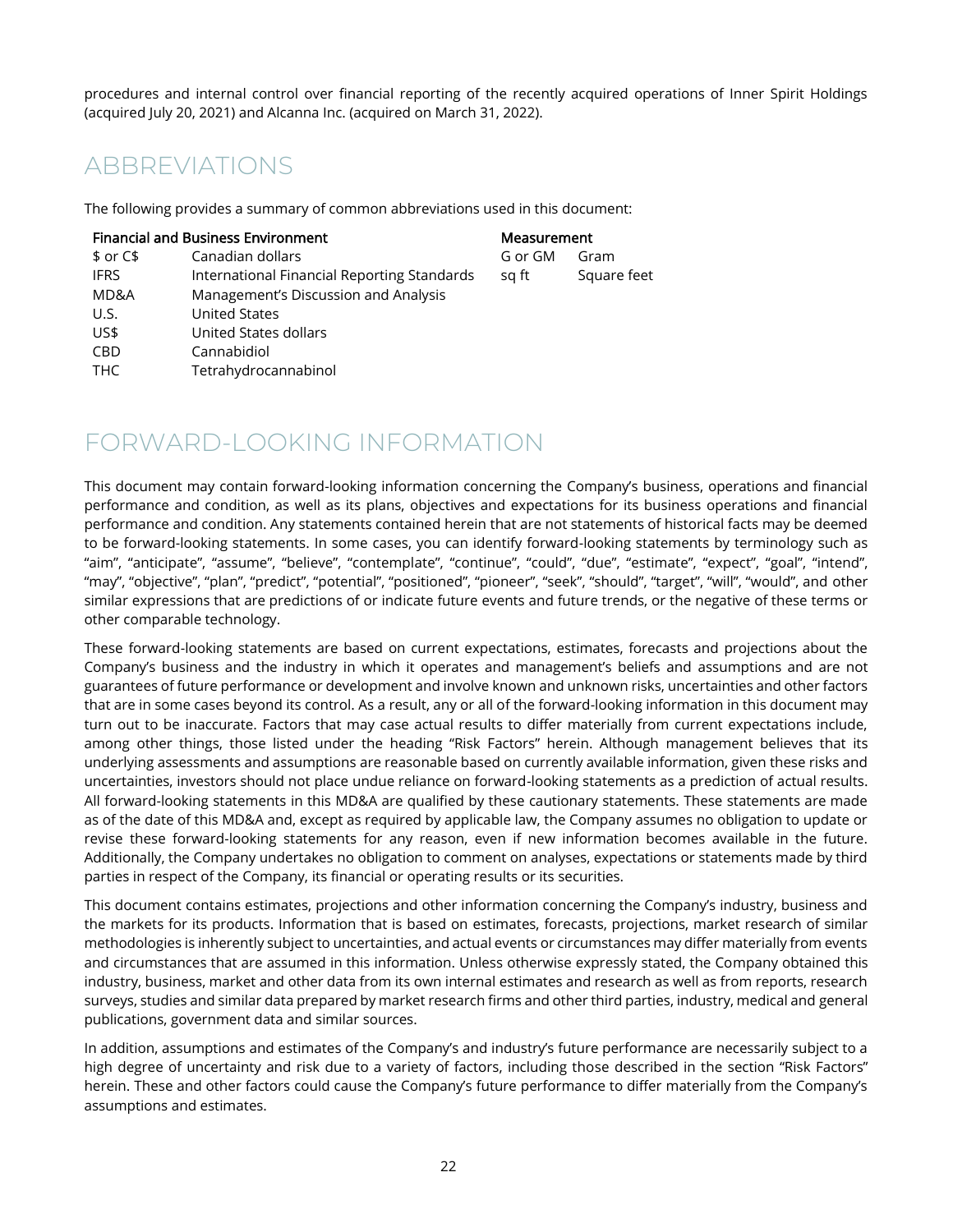procedures and internal control over financial reporting of the recently acquired operations of Inner Spirit Holdings (acquired July 20, 2021) and Alcanna Inc. (acquired on March 31, 2022).

### <span id="page-22-0"></span>ABBREVIATIONS

The following provides a summary of common abbreviations used in this document:

|             | <b>Financial and Business Environment</b>   | Measurement |             |
|-------------|---------------------------------------------|-------------|-------------|
| $$$ or $C$$ | Canadian dollars                            | G or GM     | Gram        |
| <b>IFRS</b> | International Financial Reporting Standards | sg ft       | Square feet |
| MD&A        | Management's Discussion and Analysis        |             |             |
| U.S.        | <b>United States</b>                        |             |             |
| US\$        | United States dollars                       |             |             |
| <b>CBD</b>  | Cannabidiol                                 |             |             |
| <b>THC</b>  | Tetrahydrocannabinol                        |             |             |

### <span id="page-22-1"></span>FORWARD-LOOKING INFORMATION

This document may contain forward-looking information concerning the Company's business, operations and financial performance and condition, as well as its plans, objectives and expectations for its business operations and financial performance and condition. Any statements contained herein that are not statements of historical facts may be deemed to be forward-looking statements. In some cases, you can identify forward-looking statements by terminology such as "aim", "anticipate", "assume", "believe", "contemplate", "continue", "could", "due", "estimate", "expect", "goal", "intend", "may", "objective", "plan", "predict", "potential", "positioned", "pioneer", "seek", "should", "target", "will", "would", and other similar expressions that are predictions of or indicate future events and future trends, or the negative of these terms or other comparable technology.

These forward-looking statements are based on current expectations, estimates, forecasts and projections about the Company's business and the industry in which it operates and management's beliefs and assumptions and are not guarantees of future performance or development and involve known and unknown risks, uncertainties and other factors that are in some cases beyond its control. As a result, any or all of the forward-looking information in this document may turn out to be inaccurate. Factors that may case actual results to differ materially from current expectations include, among other things, those listed under the heading "Risk Factors" herein. Although management believes that its underlying assessments and assumptions are reasonable based on currently available information, given these risks and uncertainties, investors should not place undue reliance on forward-looking statements as a prediction of actual results. All forward-looking statements in this MD&A are qualified by these cautionary statements. These statements are made as of the date of this MD&A and, except as required by applicable law, the Company assumes no obligation to update or revise these forward-looking statements for any reason, even if new information becomes available in the future. Additionally, the Company undertakes no obligation to comment on analyses, expectations or statements made by third parties in respect of the Company, its financial or operating results or its securities.

This document contains estimates, projections and other information concerning the Company's industry, business and the markets for its products. Information that is based on estimates, forecasts, projections, market research of similar methodologies is inherently subject to uncertainties, and actual events or circumstances may differ materially from events and circumstances that are assumed in this information. Unless otherwise expressly stated, the Company obtained this industry, business, market and other data from its own internal estimates and research as well as from reports, research surveys, studies and similar data prepared by market research firms and other third parties, industry, medical and general publications, government data and similar sources.

In addition, assumptions and estimates of the Company's and industry's future performance are necessarily subject to a high degree of uncertainty and risk due to a variety of factors, including those described in the section "Risk Factors" herein. These and other factors could cause the Company's future performance to differ materially from the Company's assumptions and estimates.